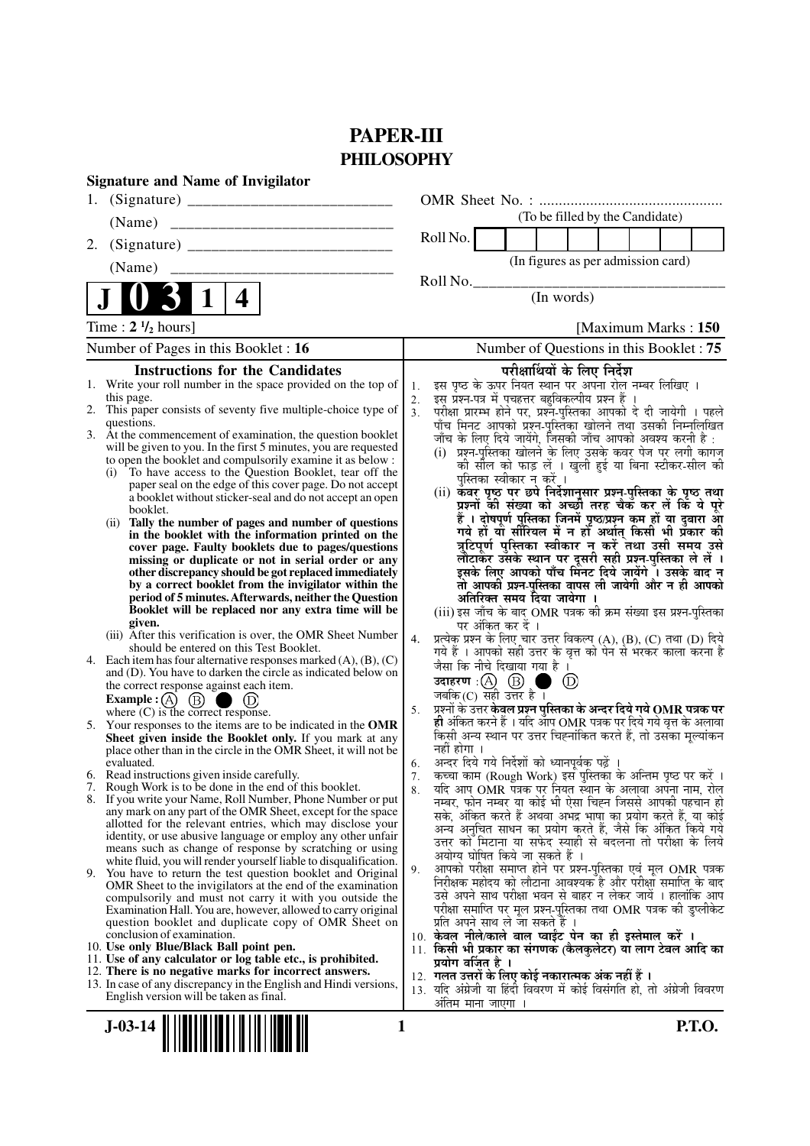## **PAPER-III PHILOSOPHY**

|    | <b>Signature and Name of Invigilator</b>                                                                                          |                      |                                                                                                                                                 |
|----|-----------------------------------------------------------------------------------------------------------------------------------|----------------------|-------------------------------------------------------------------------------------------------------------------------------------------------|
| 1. |                                                                                                                                   |                      |                                                                                                                                                 |
|    | (Name)                                                                                                                            |                      | (To be filled by the Candidate)                                                                                                                 |
| 2. |                                                                                                                                   |                      | Roll No.                                                                                                                                        |
|    | (Name)                                                                                                                            |                      | (In figures as per admission card)                                                                                                              |
|    |                                                                                                                                   |                      | Roll No.                                                                                                                                        |
|    | 4                                                                                                                                 |                      | (In words)                                                                                                                                      |
|    | Time: $2 \frac{1}{2}$ hours]                                                                                                      |                      | [Maximum Marks: 150]                                                                                                                            |
|    | Number of Pages in this Booklet : 16                                                                                              |                      | Number of Questions in this Booklet: 75                                                                                                         |
|    | <b>Instructions for the Candidates</b>                                                                                            |                      | परीक्षार्थियों के लिए निर्देश                                                                                                                   |
|    | 1. Write your roll number in the space provided on the top of                                                                     | 1.                   | इस पृष्ठ के ऊपर नियत स्थान पर अपना रोल नम्बर लिखिए ।                                                                                            |
|    | this page.<br>2. This paper consists of seventy five multiple-choice type of                                                      | 2.<br>3 <sub>1</sub> | इस प्रश्न-पत्र में पचहत्तर बहुविकल्पीय प्रश्न हैं ।<br>परीक्षा प्रारम्भ होने पर, प्रश्नॅ-पुस्तिका आपको दे दी जायेगी । पहले                      |
|    | questions.                                                                                                                        |                      | पाँच मिनट आपको प्रश्न-पुस्तिका खोलने तथा उसकी निम्नलिखित                                                                                        |
|    | 3. At the commencement of examination, the question booklet                                                                       |                      | जाँच के लिए दिये जायेंगे, जिसकी जाँच आपको अवश्य करनी है :                                                                                       |
|    | will be given to you. In the first 5 minutes, you are requested<br>to open the booklet and compulsorily examine it as below :     |                      | (i)  प्रश्न-पुस्तिका खोलने के लिए उसके कवर पेज पर लगी कागज                                                                                      |
|    | To have access to the Question Booklet, tear off the<br>(i)                                                                       |                      | को सील को फाड़ लें । खुली हुई या बिना स्टीकर-सील की<br>पुस्तिका स्वीकार न करें ।                                                                |
|    | paper seal on the edge of this cover page. Do not accept                                                                          |                      | (ii) कवर पृष्ठ पर छपे निर्देशानुसार प्रश्न-पुस्तिका के पृष्ठ तथा                                                                                |
|    | a booklet without sticker-seal and do not accept an open<br>booklet.                                                              |                      | प्रश्नों की संख्या को अच्छी तरह चैक कर लें कि ये पूरे                                                                                           |
|    | Tally the number of pages and number of questions<br>(i)                                                                          |                      | हैं । दोषपूर्ण पुस्तिका जि़नमें पृष्ठ/प्रश्न कम हों या दुबारा आूँ<br>गये हों या सीरियल में न हों अर्थात् किसी भी प्रॅकार की                     |
|    | in the booklet with the information printed on the<br>cover page. Faulty booklets due to pages/questions                          |                      | त्रुटिपूर्ण पुस्तिका स्वीकार न करें तथा उसी समय उसे                                                                                             |
|    | missing or duplicate or not in serial order or any                                                                                |                      | लौटाकर उसके स्थान पर दूसरी सही प्रश्न-पुस्तिका ले लें ।                                                                                         |
|    | other discrepancy should be got replaced immediately                                                                              |                      | इसके लिए आपको पाँच मिंनट दिये जायेंगे ँ। उसके बाद न                                                                                             |
|    | by a correct booklet from the invigilator within the<br>period of 5 minutes. Afterwards, neither the Question                     |                      | तो आपकी प्रश्न-पुस्तिका वापस ली जायेगी और न ही आपको<br>अतिरिक्त समय दिया जायेगा ।                                                               |
|    | Booklet will be replaced nor any extra time will be                                                                               |                      | (iii) इस जाँच के बाद OMR पत्रक की क्रम संख्या इस प्रश्न-पुस्तिका                                                                                |
|    | given.<br>(iii) After this verification is over, the OMR Sheet Number                                                             |                      | पर अंकित कर दें ।                                                                                                                               |
|    | should be entered on this Test Booklet.                                                                                           | 4.                   | प्रत्येक प्रश्न के लिए चार उत्तर विकल्प (A), (B), (C) तथा (D) दिये<br>गये हैं । आपको सही उत्तर के वृत्त को पेन से भरकर काला करना है             |
|    | 4. Each item has four alternative responses marked $(A)$ , $(B)$ , $(C)$                                                          |                      | जैसा कि नीचे दिखाया गया है ।                                                                                                                    |
|    | and (D). You have to darken the circle as indicated below on<br>the correct response against each item.                           |                      | $\circled{D}$                                                                                                                                   |
|    | Example : (A) $(B)$<br>$\bigcup$ (D)                                                                                              |                      | जबकि $(C)$ सही उत्तर है।                                                                                                                        |
|    | where $(C)$ is the correct response.                                                                                              | 5.                   | प्रश्नों के उत्तर <b>केवल प्रश्न पुस्तिका के अन्दर दिये गये OMR पत्रक पर</b><br>ही अंकित करने हैं । यदि ऑप OMR पत्रक पर दिये गये वृत्त के अलावा |
|    | 5. Your responses to the items are to be indicated in the OMR<br>Sheet given inside the Booklet only. If you mark at any          |                      | किसी अन्य स्थान पर उत्तर चिह्नांकित करते हैं, तो उसका मूल्यांकन                                                                                 |
|    | place other than in the circle in the OMR Sheet, it will not be                                                                   |                      | नहीं होगा ।                                                                                                                                     |
|    | evaluated.<br>6. Read instructions given inside carefully.                                                                        | 6.                   | अन्दर दिये गये निर्देशों को ध्यानपूर्वक पढ़ें ।                                                                                                 |
|    | 7. Rough Work is to be done in the end of this booklet.                                                                           | 7.<br>8.             | कच्चा काम (Rough Work) इस पुस्तिका के अन्तिम पृष्ठ पर करें ।<br>र्याद आप OMR पत्रक पर नियत स्थान के अलावा अपना नाम, रोल                         |
|    | 8. If you write your Name, Roll Number, Phone Number or put                                                                       |                      | नम्बर, फोन नम्बर या कोई भी ऐसा चिह्न जिससे आपकी पहचान हो                                                                                        |
|    | any mark on any part of the OMR Sheet, except for the space<br>allotted for the relevant entries, which may disclose your         |                      | सके, अंकित करते हैं अथवा अभद्र भाषा का प्रयोग करते हैं, या कोई                                                                                  |
|    | identity, or use abusive language or employ any other unfair                                                                      |                      | अन्य अनुचित साधन का प्रयोग करते हैं, जैसे कि अंकित किये गये<br>उत्तर को मिटाना या सफेद स्याही से बदलना तो परीक्षा के लिये                       |
|    | means such as change of response by scratching or using                                                                           |                      | अयोग्य घोषित किये जा सकते हैं ।                                                                                                                 |
|    | white fluid, you will render yourself liable to disqualification.<br>9. You have to return the test question booklet and Original | 9.                   | आपको परीक्षा समाप्त होने पर प्रश्न-पुस्तिका एवं मूल OMR पत्रक                                                                                   |
|    | OMR Sheet to the invigilators at the end of the examination                                                                       |                      | निरीक्षक महोदय को लौटाना आवश्यक है और परीक्षा समाप्ति के बाद                                                                                    |
|    | compulsorily and must not carry it with you outside the<br>Examination Hall. You are, however, allowed to carry original          |                      | उसे अपने साथ परीक्षा भवन से बाहर न लेकर जायें । हालांकि आप<br>परीक्षा समाप्ति पर मूल प्रश्न-पुस्तिका तथा OMR पत्रक की डुप्लीकेट                 |
|    | question booklet and duplicate copy of OMR Sheet on                                                                               |                      | प्रति अपने साथ ले जा सकते हैं ।                                                                                                                 |
|    | conclusion of examination.<br>10. Use only Blue/Black Ball point pen.                                                             |                      | 10. केवल नीले/काले बाल प्वाईंट पेन का ही इस्तेमाल करें ।                                                                                        |
|    | 11. Use of any calculator or log table etc., is prohibited.                                                                       |                      | 11. किसी भी प्रकार का संगणक (कैलकुलेटर) या लाग टेबल आदि का<br>प्रयोग वर्जित है ।                                                                |
|    | 12. There is no negative marks for incorrect answers.                                                                             |                      | 12.  गलत उत्तरों के लिए कोई नकारात्मक अंक नहीं हैं ।                                                                                            |
|    | 13. In case of any discrepancy in the English and Hindi versions,<br>English version will be taken as final.                      |                      | 13. यदि अंग्रेजी या हिंदी विवरण में कोई विसंगति हो, तो अंग्रेजी विवरण                                                                           |
|    |                                                                                                                                   |                      | अंतिम माना जाएगा                                                                                                                                |
|    |                                                                                                                                   |                      | dτa                                                                                                                                             |

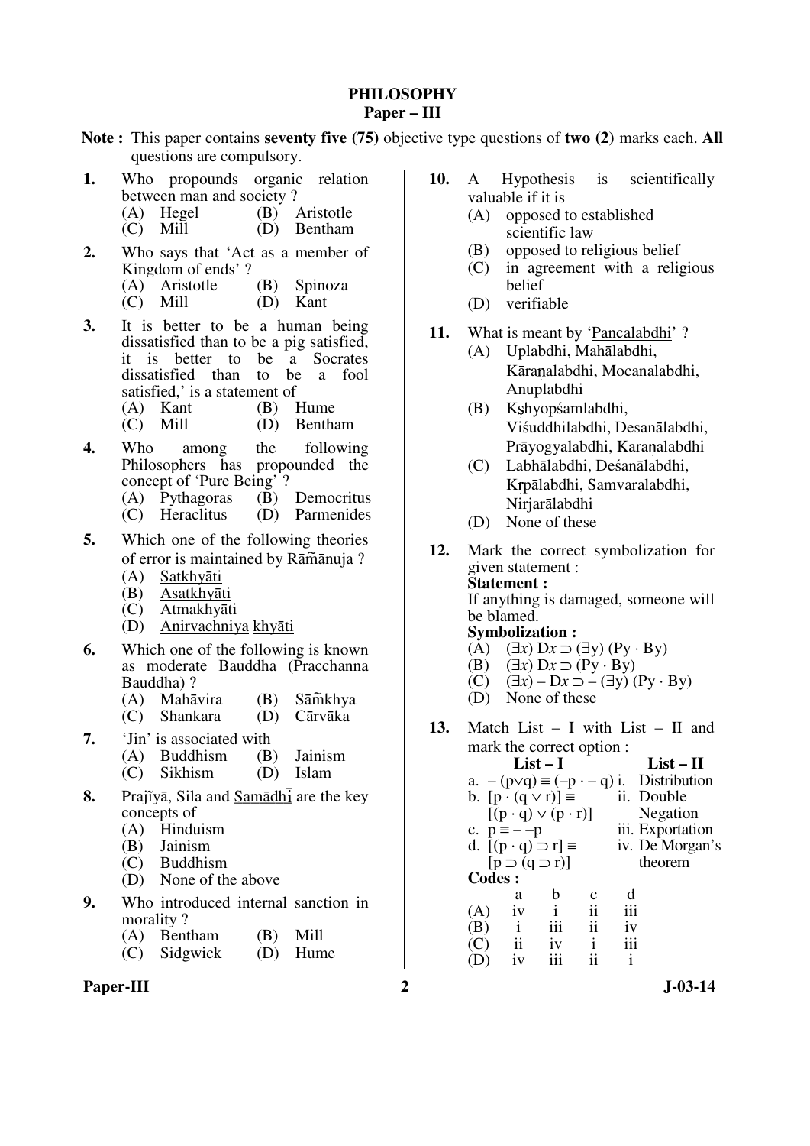#### **PHILOSOPHY Paper – III**

- **Note :** This paper contains **seventy five (75)** objective type questions of **two (2)** marks each. **All** questions are compulsory.
- **1.** Who propounds organic relation between man and society ?
	- (A) Hegel (B) Aristotle<br>
	(C) Mill (D) Bentham
	- $(C)$  Mill
- **2.** Who says that 'Act as a member of Kingdom of ends' ?
	- (A) Aristotle (B) Spinoza
	- (C) Mill (D) Kant
- **3.** It is better to be a human being dissatisfied than to be a pig satisfied, it is better to be a Socrates dissatisfied than to be a fool satisfied,' is a statement of
	- (A) Kant (B) Hume<br>(C) Mill (D) Bentham
	- $(C)$  Mill
- **4.** Who among the following Philosophers has propounded the concept of 'Pure Being' ?<br>
(A) Pythagoras (B) Democritus
	- (A) Pythagoras  $(C)$  Heraclitus
	- (D) Parmenides
- **5.** Which one of the following theories of error is maintained by Rāmānuja ?
	- (A) Satkhyāti
	- (B) Asatkhyāti
	- Atmakhyāti
	- (D) Anirvachniya khyāti
- **6.** Which one of the following is known as moderate Bauddha (Pracchanna Bauddha) ?
	- (A) Mahāvira (B) Sām̃khya<br>(C) Shankara (D) Cārvāka Sāmkhya
	- $(C)$  Shankara  $(D)$
- **7.** 'Jin' is associated with
	- (A) Buddhism (B) Jainism<br>(C) Sikhism (D) Islam
		- $(C)$  Sikhism  $(D)$
- **8.** Prajīyā, Sila and Samādh are the key concepts of
	- (A) Hinduism<br>(B) Jainism
	- Jainism
	- (C) Buddhism
	- (D) None of the above
- **9.** Who introduced internal sanction in morality ?
	- (A) Bentham (B) Mill<br>(C) Sidgwick (D) Hume
	- $(C)$  Sidgwick
- Paper-III 2 J-03-14
- **10.** A Hypothesis is scientifically valuable if it is
	- (A) opposed to established scientific law
	- (B) opposed to religious belief
	- (C) in agreement with a religious belief
	- (D) verifiable
- **11.** What is meant by 'Pancalabdhi' ?
	- (A) Uplabdhi, Mahālabdhi, Kāranalabdhi, Mocanalabdhi, Anuplabdhi
	- (B) K hyopśamlabdhi, Viśuddhilabdhi, Desanālabdhi, Prāyogyalabdhi, Karanalabdhi
	- (C) Labhālabdhi, Deśanālabdhi, Krpālabdhi, Samvaralabdhi, Nirjarālabdhi
	- (D) None of these
- **12.** Mark the correct symbolization for given statement : **Statement :**  If anything is damaged, someone will be blamed. **Symbolization :**
- $(A)$   $(\exists x)$   $Dx \supset (\exists y)$   $(Py \cdot By)$
- $(B)$   $(\exists x)$   $Dx \supset (Py \cdot By)$ 
	- (B)  $(\exists x) \, \mathsf{D}x \supset (\mathsf{Py} \cdot \mathsf{By})$ <br>(C)  $(\exists x) \mathsf{D}x \supset -(\exists y) (\mathsf{Py} \cdot \mathsf{By})$
	- (D) None of these
- **13.** Match List I with List II and mark the correct option :

|               |                                     | $List-I$ |                     |     | $List-II$                                        |
|---------------|-------------------------------------|----------|---------------------|-----|--------------------------------------------------|
|               |                                     |          |                     |     | a. $-(p \lor q) \equiv (-p - q)i$ . Distribution |
|               | b. $[p \cdot (q \vee r)] \equiv$    |          |                     |     | ii. Double                                       |
|               | $[(p \cdot q) \vee (p \cdot r)]$    |          |                     |     | Negation                                         |
|               | c. $p = -p$                         |          |                     |     | iii. Exportation                                 |
|               | d. $[(p \cdot q) \supset r] \equiv$ |          |                     |     | iv. De Morgan's                                  |
|               | $[p \supset (q \supset r)]$         |          |                     |     | theorem                                          |
| <b>Codes:</b> |                                     |          |                     |     |                                                  |
|               | a                                   | b        | $\mathbf c$         | d   |                                                  |
| (A)           | 1V                                  |          | ii                  | iii |                                                  |
| (B)           | $\mathbf{i}$                        | iii      | $\ddot{\mathbf{i}}$ | 1V  |                                                  |
| (C)           | $\overline{\mathbf{1}}$             | 1V       | i                   | iii |                                                  |
|               | iv                                  |          | ij                  | i   |                                                  |
|               |                                     |          |                     |     |                                                  |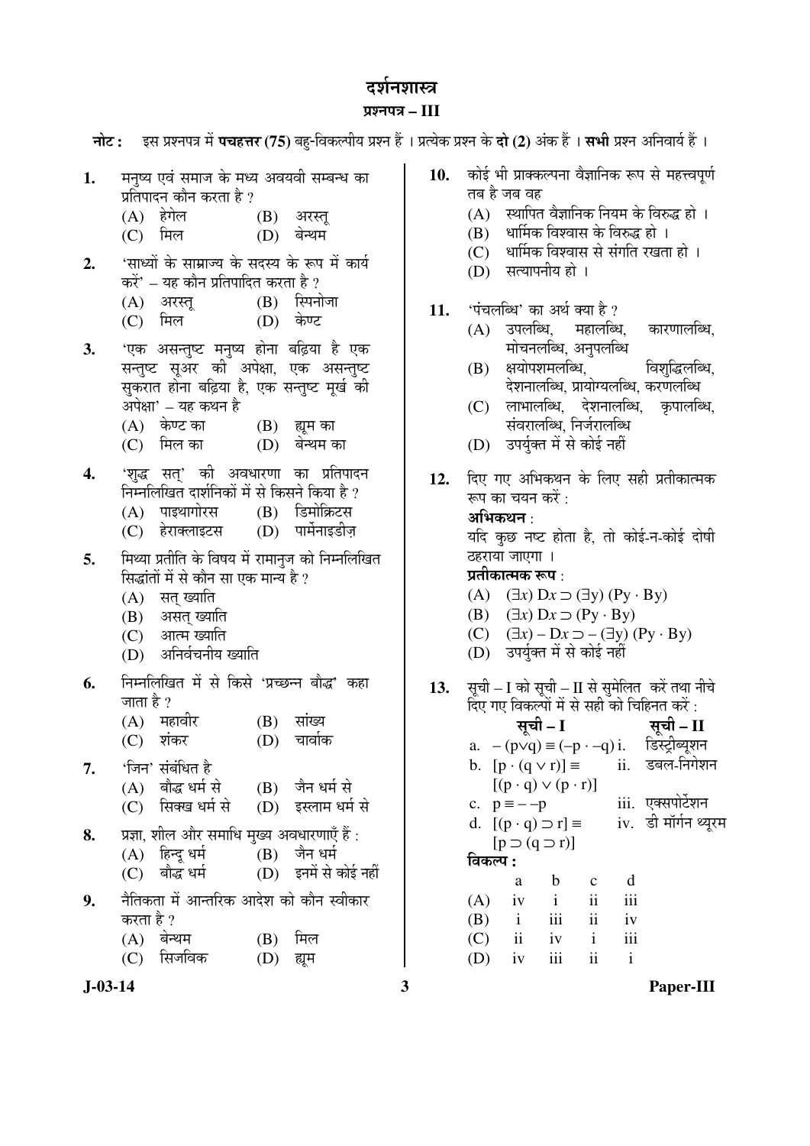# दर्शनशास्त्र $\,$

### ¯ÖÏ¿®Ö¯Ö¡Ö **– III**

|           | नोट: इस प्रश्नपत्र में पचहत्तर (75) बहु-विकल्पीय प्रश्न हैं । प्रत्येक प्रश्न के दो (2) अंक हैं । सभी प्रश्न अनिवार्य हैं ।                                                                                                                                                                      |   |                                                                                                                                                                                                                                                                 |
|-----------|--------------------------------------------------------------------------------------------------------------------------------------------------------------------------------------------------------------------------------------------------------------------------------------------------|---|-----------------------------------------------------------------------------------------------------------------------------------------------------------------------------------------------------------------------------------------------------------------|
| 1.<br>2.  | मनुष्य एवं समाज के मध्य अवयवी सम्बन्ध का<br>प्रतिपादन कौन करता है ?<br>(A) हेगेल             (B) अरस्तू<br>(C) मिल<br>बेन्थम<br>(D)<br>'साध्यों के साम्राज्य के सदस्य के रूप में कार्य                                                                                                           |   | कोई भी प्राक्कल्पना वैज्ञानिक रूप से महत्त्वपूर्ण<br>10.<br>तब है जब वह<br>स्थापित वैज्ञानिक नियम के विरुद्ध हो ।<br>(A)<br>धार्मिक विश्वास के विरुद्ध हो ।<br>(B)<br>धार्मिक विश्वास से संगति रखता हो ।<br>(C)<br>सत्यापनीय हो ।<br>(D)                        |
| 3.        | करें' – यह कौन प्रतिपादित करता है ?<br>(B) स्पिनोजा<br>(A) अरस्तू<br>(C) मिल               (D)  केण्ट<br>'एक असन्तुष्ट मनुष्य होना बढ़िया है एक<br>सन्तुष्ट सूअर की अपेक्षा, एक असन्तुष्ट<br>सुकरात होना बढ़िया है, एक सन्तुष्ट मूर्ख की<br>अपेक्षा' – यह कथन है<br>(A) केण्ट का<br>(B) ह्यूम का |   | 'पंचलब्धि' का अर्थ क्या है ?<br>11.<br>उपलब्धि, महालब्धि,<br>कारणालब्धि,<br>(A)<br>मोचनलब्धि, अनुपलब्धि<br>क्षयोपशमलब्धि, विशुद्धिलब्धि,<br>(B)<br>देशनालब्धि, प्रायोग्यलब्धि, करणलब्धि<br>लाभालब्धि, देशनालब्धि, कृपालब्धि,<br>(C)<br>संवरालब्धि, निर्जरालब्धि |
| 4.        | (C) मिल का<br>(D) बेन्थम का<br>'शुद्ध सत्' की अवधारणा का प्रतिपादन<br>निम्नलिखित दार्शनिकों में से किसने किया है ?<br>(A) पाइथागोरस (B) डिमोक्रिटस<br>(D) पार्मेनाइडीज़<br>(C) हेराक्लाइटस                                                                                                       |   | उपर्युक्त में से कोई नहीं<br>(D)<br>दिए गए अभिकथन के लिए सही प्रतीकात्मक<br>12.<br>रूप का चयन करें :<br>अभिकथन :<br>यदि कुछ नष्ट होता है, तो कोई-न-कोई दोषी                                                                                                     |
| 5.        | मिथ्या प्रतीति के विषय में रामानुज को निम्नलिखित<br>सिद्धांतों में से कौन सा एक मान्य है ?<br>(A) सत् ख्याति<br>(B) असत् ख्याति<br>(C) आत्म ख्याति<br>अनिर्वचनीय ख्याति<br>(D)                                                                                                                   |   | ठहराया जाएगा ।<br>प्रतीकात्मक रूप :<br>(A) $(\exists x)$ $Dx \supset (\exists y)$ $(Py \cdot By)$<br>(B) $(\exists x) Dx \supset (Py \cdot By)$<br>(C) $(\exists x) - Dx \supset -(\exists y) (Py \cdot By)$<br>(D) उपर्युक्त में से कोई नहीं                   |
| 6.        | निम्नलिखित में से किसे 'प्रच्छन्न बौद्ध' कहा<br>जाता है ?<br>(A) महावीर<br>सांख्य<br>(B)<br>$(D)$ चार्वाक<br>$(C)$ शंकर                                                                                                                                                                          |   | 13. सूची – I को सूची – II से सुमेलित करें तथा नीचे<br>दिए गए विकल्पों में से सही को चिहिनत करें :<br>सूची – I सूची – II<br>a. $-(p \lor q) \equiv (-p \cdot -q) i$ . डिस्ट्रीब्यूशन                                                                             |
| 7.        | 'जिन' संबंधित है<br>(B) जैन धर्म से<br>बौद्ध धर्म से<br>(A)<br>सिक्ख धर्म से<br>(D) इस्लाम धर्म से<br>(C)                                                                                                                                                                                        |   | ii. डबल-निगेशन<br>b. $[p \cdot (q \vee r)] \equiv$<br>$[(p \cdot q) \vee (p \cdot r)]$<br>iii. एक्सपोर्टेशन<br>c. $p = -p$                                                                                                                                      |
| 8.        | प्रज्ञा, शील और समाधि मुख्य अवधारणाएँ हैं :<br>(B) जैन धर्म<br>(A) हिन्दू धर्म<br>(D) इनमें से कोई नहीं<br>बौद्ध धर्म<br>(C)                                                                                                                                                                     |   | iv. डी मॉर्गन थ्यूरम<br>d. $[(p \cdot q) \supset r] \equiv$<br>$[p \supset (q \supset r)]$<br>विकल्प :<br>$\mathbf b$<br>d<br>a<br>$\mathbf c$                                                                                                                  |
| 9.        | नैतिकता में आन्तरिक आदेश को कौन स्वीकार<br>करता है ?<br>$(A)$ बेन्थम<br>मिल<br>(B)<br>सिजविक<br>(C)<br>(D)<br>ह्यूम                                                                                                                                                                              |   | $\rm ii$<br>iii<br>$\mathbf{i}$<br>(A)<br>iv<br>iii<br>$\mathbf{ii}$<br>(B)<br>iv<br>$\mathbf{i}$<br>iii<br>ii<br>(C)<br>$\mathbf{i}$<br>iv<br>$\mathbf{i}$<br>ii<br>iii<br>(D)<br>iv                                                                           |
| $J-03-14$ |                                                                                                                                                                                                                                                                                                  | 3 | Paper-III                                                                                                                                                                                                                                                       |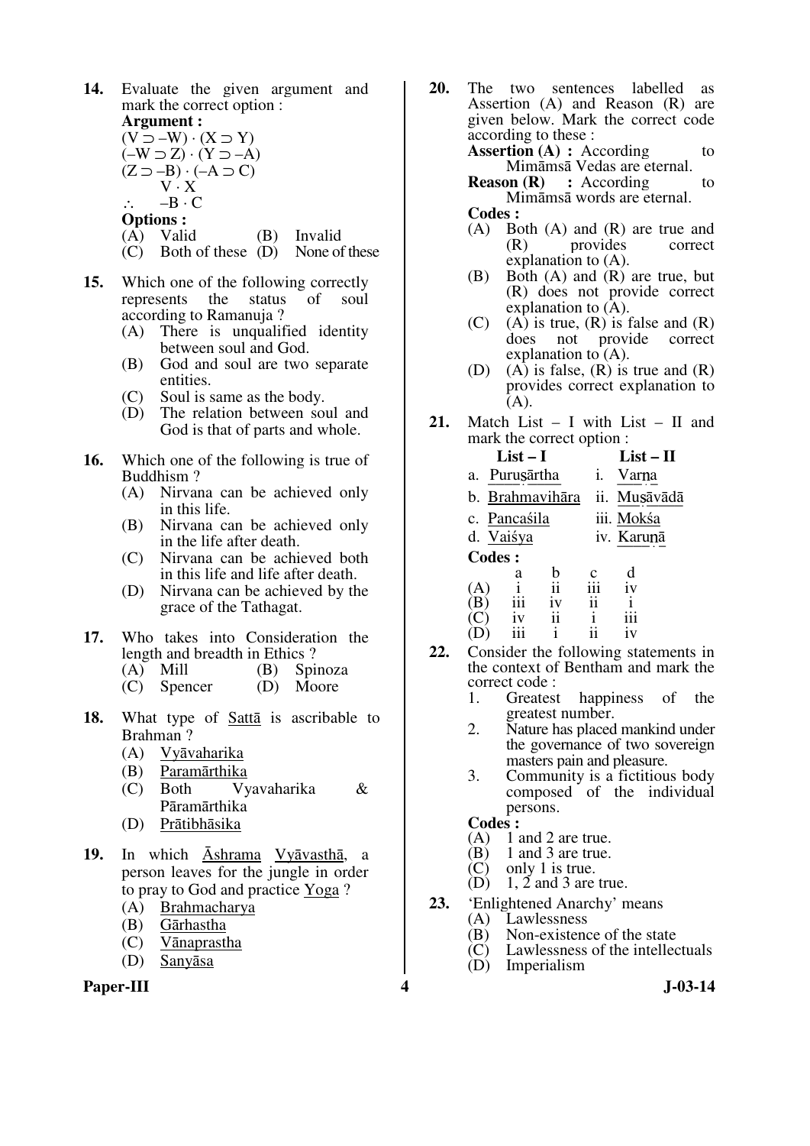Paper-III 3-03-14 **14.** Evaluate the given argument and mark the correct option : **Argument :**   $(V \supset -W) \cdot (X \supset Y)$  $(-W \supset Z) \cdot (Y \supset -A)$  $(Z \supset -B) \cdot (-A \supset C)$  $V \cdot X$  $-B \cdot C$  **Options :** (A) Valid (B) Invalid (C) Both of these (D) None of these **15.** Which one of the following correctly represents the status of soul according to Ramanuja ? (A) There is unqualified identity between soul and God. (B) God and soul are two separate entities. (C) Soul is same as the body. (D) The relation between soul and God is that of parts and whole. **16.** Which one of the following is true of Buddhism ? (A) Nirvana can be achieved only in this life. (B) Nirvana can be achieved only in the life after death. (C) Nirvana can be achieved both in this life and life after death. (D) Nirvana can be achieved by the grace of the Tathagat. **17.** Who takes into Consideration the length and breadth in Ethics ? (A) Mill (B) Spinoza<br>(C) Spencer (D) Moore (C) Spencer (D) Moore **18.** What type of Sattā is ascribable to Brahman ? (A) Vyāvaharika (B) Paramārthika (C) Both Vyavaharika & Pāramārthika (D) Prātibhāsika **19.** In which Āshrama Vyāvasthā, a person leaves for the jungle in order to pray to God and practice Yoga ? (A) Brahmacharya (B) Gārhastha (C) Vānaprastha (D) Sanyāsa

- **20.** The two sentences labelled as Assertion (A) and Reason (R) are given below. Mark the correct code according to these : **Assertion (A) :** According to Mimāmsā Vedas are eternal. **Reason (R)** : According to Mimāmsā words are eternal.  **Codes :**
	- (A) Both (A) and (R) are true and (R) provides correct provides explanation to (A).
	- (B) Both (A) and (R) are true, but (R) does not provide correct explanation to (A).
	- $(C)$  (A) is true,  $(R)$  is false and  $(R)$ does not provide correct explanation to (A).
	- (D) (A) is false,  $(R)$  is true and  $(R)$ provides correct explanation to  $(A)$ .
- **21.** Match List I with List II and mark the correct option :

|                     |    | $List - II$                                         |                 |
|---------------------|----|-----------------------------------------------------|-----------------|
|                     | İ. | Varna                                               |                 |
|                     |    | ii. Musāvādā                                        |                 |
|                     |    |                                                     | iii. Mokśa      |
|                     |    |                                                     | iv. Karunā      |
| Codes :             |    |                                                     |                 |
| а                   |    | с                                                   |                 |
| (A)                 | ii | İĨ1                                                 | iv              |
| iii<br>$\mathbf{B}$ | iv | ii                                                  | i               |
| C.<br>1V            | ii |                                                     | iii             |
|                     |    |                                                     | 1 V             |
|                     |    | $List-I$<br>Purusārtha<br>c. Pancaśila<br>d. Vaisya | b. Brahmavihāra |

- **22.** Consider the following statements in the context of Bentham and mark the correct code :
	- 1. Greatest happiness of the greatest number.
	- 2. Nature has placed mankind under the governance of two sovereign masters pain and pleasure.
	- 3. Community is a fictitious body composed of the individual persons.

**Codes :**<br>(A) 1 a

- (A)  $1$  and  $2$  are true.<br>(B)  $1$  and  $3$  are true.
- (B) 1 and 3 are true.<br>(C) only 1 is true.
- (C) only 1 is true.<br>(D)  $1, 2$  and 3 are
- $1, 2$  and 3 are true.
- **23.** 'Enlightened Anarchy' means<br>(A) Lawlessness
	- **Lawlessness**
	- (B) Non-existence of the state<br>(C) Lawlessness of the intellect
	- $(C)$  Lawlessness of the intellectuals<br>(D) Imperialism
	- Imperialism
-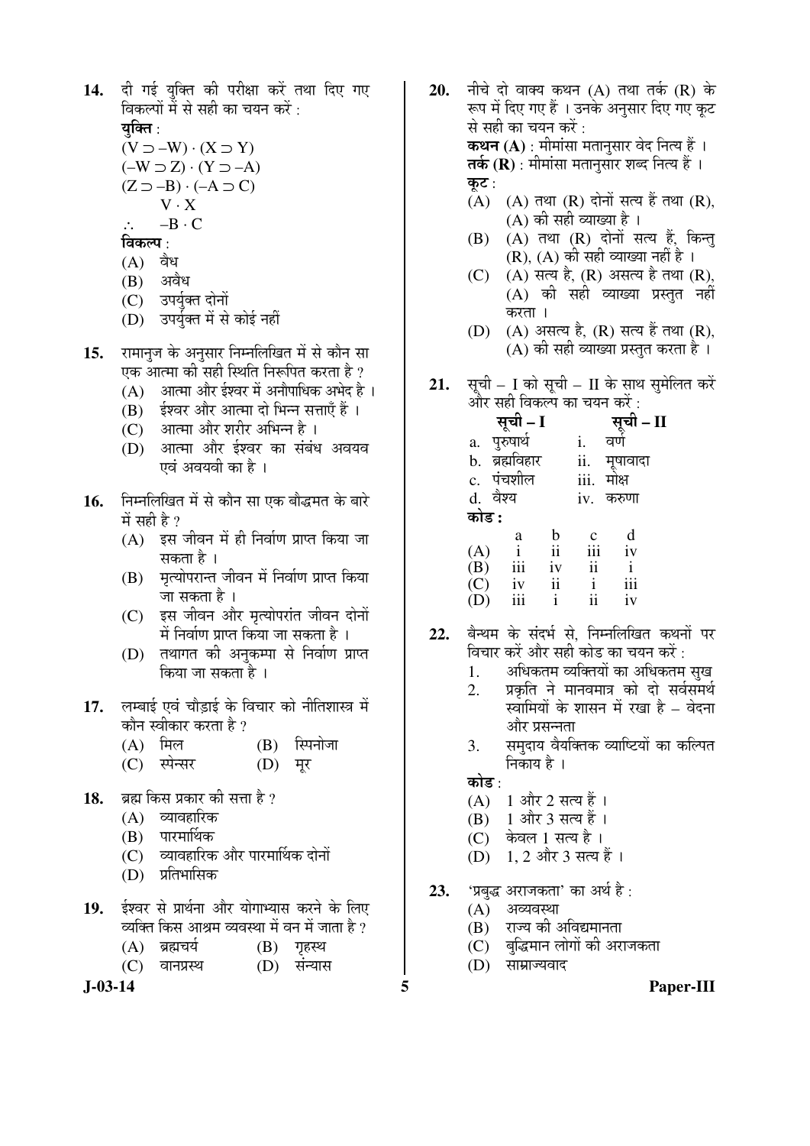14. दी गई युक्ति की परीक्षा करें तथा दिए गए विकल्पों में से सही का चयन करें : यक्ति :

 $(V \supset -W) \cdot (X \supset Y)$  $(-W \supset Z) \cdot (Y \supset -A)$  $(Z \supset -B) \cdot (-A \supset C)$  $V \cdot X$ ∴ –B · C

#### विकल्प :

- $(A)$  वैध
- (B) अवैध
- (C) उपर्युक्त दोनों
- (D) उपर्युक्त में से कोई नहीं
- 15. रामानज के अनुसार निम्नलिखित में से कौन सा एक आत्मा की सही स्थिति निरूपित करता है ?
	- $(A)$  आत्मा और ईश्वर में अनौपाधिक अभेद है ।
	- $(B)$   $\frac{1}{2}$ ईश्वर और आत्मा दो भिन्न सत्ताएँ हैं ।
	- (C) आत्मा और शरीर अभिन्न है ।
	- (D) आत्मा और ईश्वर का संबंध अवयव एवं अवयवी का है ।
- 1**6.** निम्नलिखित में से कौन सा एक बौद्धमत के बारे में सही है $\overline{v}$ 
	- $(A)$  इस जीवन में ही निर्वाण प्राप्त किया जा सकता है ।
	- (B) मृत्योपरान्त जीवन में निर्वाण प्राप्त किया जा सकता है ।
	- (C) इस जीवन और मृत्योपरांत जीवन दोनों  $\hat{\vec{H}}$  निर्वाण प्राप्त किया जा सकता है ।
	- (D) तथागत की अनुकम्पा से निर्वाण प्राप्त किया जा सकता है ।
- 17. लम्बाई एवं चौडाई के विचार को नीतिशास्त्र में कौन स्वीकार करता है ?
	- $(A)$  मिल  $(B)$  स्पिनोजा
	- (C) स्पेन्सर (D) मूर
- 18. **अहम किस प्रकार की सत्ता है**?
	- $(A)$  व्यावहारिक
	- $(B)$  पारमार्थिक
	- (C) व्यावहारिक और पारमार्थिक दोनों<br>(D) प्रतिभासिक
	- प्रतिभासिक
- 19. ईश्वर से प्रार्थना और योगाभ्यास करने के लिए <u>व्यक्ति किस आश्रम व्यवस्था में वन में जाता है ?</u>
	- $(A)$  ब्रह्मचर्य  $(B)$  गृहस्थ
	- (C) वानप्रस्थ (D) संन्यास

- **20.** नीचे दो वाक्य कथन (A) तथा तर्क (R) के रूप में दिए गए हैं । उनके अनुसार दिए गए कुट से सही का चयन करें : **कथन (A)** : मीमांसा मतानुसार वेद नित्य हैं । **तर्क (R)** : मीमांसा मतानुसार शब्द नित्य हैं । कुट $:$  $(A)$   $(A)$   $\overline{d}$   $\overline{d}$   $\overline{R}$   $\overline{d}$   $\overline{d}$   $\overline{d}$   $\overline{d}$   $\overline{d}$   $\overline{d}$   $\overline{R}$   $\overline{d}$   $\overline{d}$   $\overline{d}$   $\overline{d}$   $\overline{d}$   $\overline{d}$   $\overline{d}$   $\overline{d}$   $\overline{d}$   $\overline{d}$   $\overline{d}$   $\overline{d}$   $\overline{d}$   $\overline$  $(A)$  की सही व्याख्या है।
	- $(B)$   $(A)$  तथा  $(R)$  दोनों सत्य हैं, किन्तु  $(R)$ ,  $(A)$  की सही व्याख्या नहीं है ।
	- (C)  $(A)$  सत्य है,  $(R)$  असत्य है तथा  $(R)$ , (A) की सही व्याख्या प्रस्तुत नहीं करता ।
	- $(D)$   $(A)$  असत्य है,  $(R)$  सत्य हैं तथा  $(R)$ , (A) की सही व्याख्या प्रस्तुत करता है)।
- 21. सूची I को सूची II के साथ सुमेलित करें और सही विकल्प का चयन करें $\,\cdot\,$

|                         | सूची – I               |               |      | <b>सूची – II</b><br>वर्ण |  |
|-------------------------|------------------------|---------------|------|--------------------------|--|
| a.                      | पुरुषार्थ              |               | i.   |                          |  |
| b.                      | ब्रह्मविहार            |               | ii.  |                          |  |
|                         | c. पंचशील              |               | iii. | मूषावादा<br>मोक्ष        |  |
|                         | d. वैश्य               |               | iv.  | करुणा                    |  |
| कोड :                   |                        |               |      |                          |  |
|                         | a                      | b             | c    | $\frac{d}{iv}$           |  |
|                         | $\frac{i}{\text{iii}}$ | $\mathbf{ii}$ | iii  |                          |  |
|                         |                        | iv            | ii   | $\mathbf{i}$             |  |
| $(A)$<br>$(B)$<br>$(C)$ | iv                     | ii            | i    | iii                      |  |
|                         | iii                    | i             | ii   | iv                       |  |

- 22. बैन्थम के संदर्भ से, निम्नलिखित कथनों पर <u>विचार करें और सही कोड का चयन करें :</u>
	- 1. अधिकतम व्यक्तियों का अधिकतम सुख
	- <u>2. प्रकृति ने मानवमात्र को दो सर्वसमर्थ</u> स्वामियों के शासन में रखा है – वेदना और प्रसन्नता
	- 3. समुदाय वैयक्तिक व्याष्टियों का कल्पित निकाय है ।
	- कोड :
	- $(A)$  1 और 2 सत्य हैं।
	- $(B)$  1 और 3 सत्य हैं।
	- (C) केवल 1 सत्य है ।
	- (D) 1, 2 और 3 सत्य हैं ।
- **23.** 'प्रबुद्ध अराजकता' का अर्थ है:
	- $(A)$  अव्यवस्था
	- (B) राज्य की अविद्यमानता
	- $(C)$  बद्धिमान लोगों की अराजकता
	- (D) साम्राज्यवाद
- **J-03-14 5 Paper-III**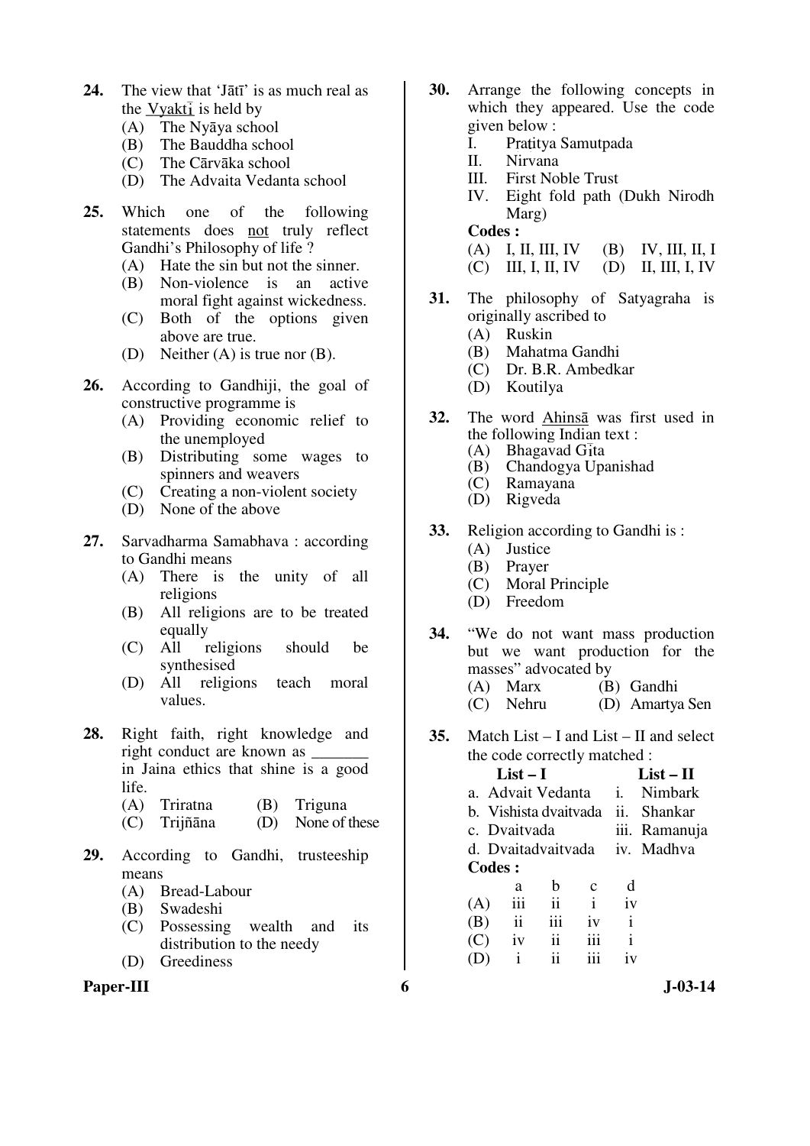- **24.** The view that 'Jātī' is as much real as the  $Vyakt\bar{i}$  is held by
	- (A) The Nyāya school
	- (B) The Bauddha school
	- (C) The Cārvāka school
	- (D) The Advaita Vedanta school
- **25.** Which one of the following statements does not truly reflect Gandhi's Philosophy of life ?
	- (A) Hate the sin but not the sinner.
	- (B) Non-violence is an active moral fight against wickedness.
	- (C) Both of the options given above are true.
	- (D) Neither (A) is true nor (B).
- **26.** According to Gandhiji, the goal of constructive programme is
	- (A) Providing economic relief to the unemployed
	- (B) Distributing some wages to spinners and weavers
	- (C) Creating a non-violent society
	- (D) None of the above
- **27.** Sarvadharma Samabhava : according to Gandhi means
	- (A) There is the unity of all religions
	- (B) All religions are to be treated
	- equally<br>All religions (C) All religions should be synthesised
	- (D) All religions teach moral values.
- **28.** Right faith, right knowledge and right conduct are known as in Jaina ethics that shine is a good life.
	- (A) Triratna (B) Triguna
	- (C) Trijñāna (D) None of these
- **29.** According to Gandhi, trusteeship means
	- (A) Bread-Labour
	- (B) Swadeshi
	- (C) Possessing wealth and its distribution to the needy
	- (D) Greediness



- **30.** Arrange the following concepts in which they appeared. Use the code given below :
	- I. Pratitya Samutpada
	- II. Nirvana
	- III. First Noble Trust
	- IV. Eight fold path (Dukh Nirodh Marg)
	- **Codes :**
	- (A) I, II, III, IV (B) IV, III, II, I
	- (C) III, I, II, IV (D) II, III, I, IV
- **31.** The philosophy of Satyagraha is originally ascribed to
	- (A) Ruskin
	- (B) Mahatma Gandhi
	- (C) Dr. B.R. Ambedkar
	- (D) Koutilya
- **32.** The word Ahinsā was first used in the following Indian text :<br>(A) Bhagavad  $G_{I}$ ta
	- Bhagavad Gita
	- (B) Chandogya Upanishad
	- **Ramayana**
	- (D) Rigveda
- **33.** Religion according to Gandhi is :
	- (A) Justice
	- (B) Prayer
	- (C) Moral Principle
	- (D) Freedom
- **34.** "We do not want mass production but we want production for the masses" advocated by
	- (A) Marx (B) Gandhi<br>
	(C) Nehru (D) Amartya (D) Amartya Sen
- **35.** Match List I and List II and select the code correctly matched :

 **List – I List – II** a. Advait Vedanta i. Nimbark b. Vishista dvaitvada ii. Shankar c. Dvaitvada iii. Ramanuja d. Dvaitadvaitvada iv. Madhva **Codes :**  a b c d  $(A)$  iii ii i iv  $(B)$  ii iii iv i  $(C)$  iv ii iii i

 $(D)$  i ii iii iv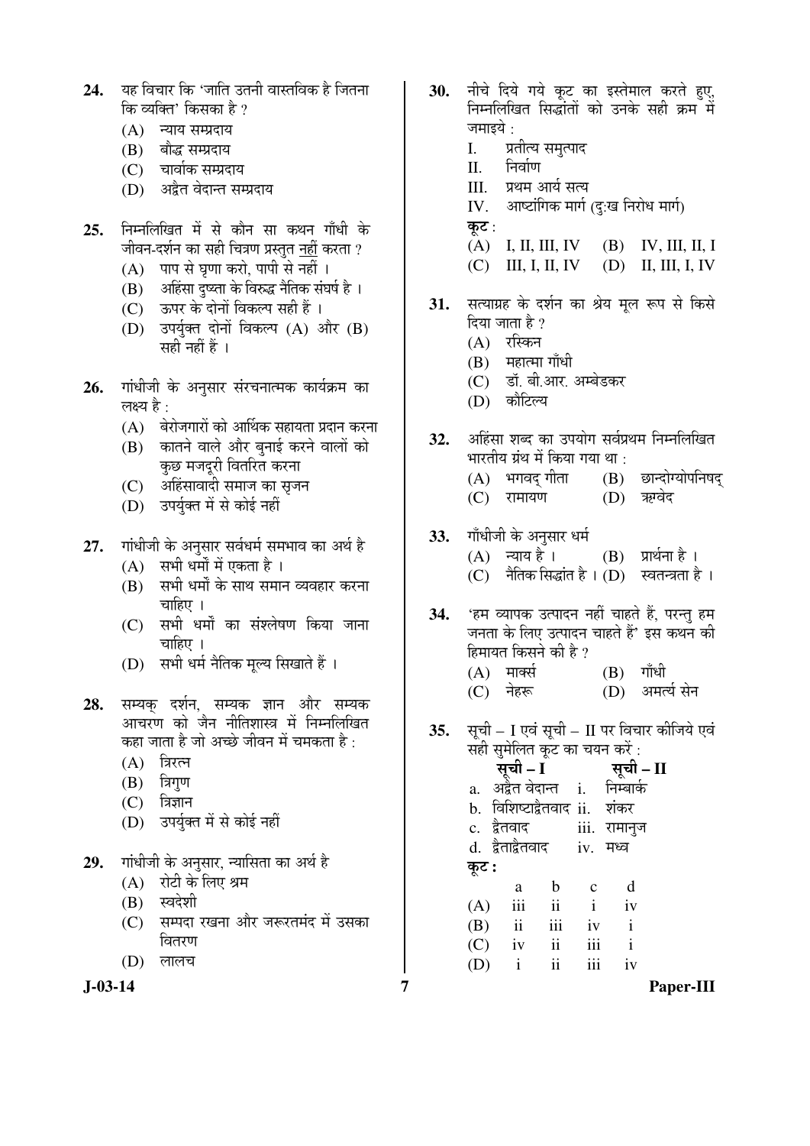- 24. यह विचार कि 'जाति उतनी वास्तविक है जितना कि व्यक्ति' किसका है ?
	- $(A)$  न्याय सम्प्रदाय
	- (B) बौद्ध सम्प्रदाय
	- (C) चार्वाक सम्प्रदाय
	- (D) अद्रैत वेदान्त सम्प्रदाय
- **25.** निम्नलिखित में से कौन सा कथन गाँधी के जीवन-दर्शन का सही चित्रण प्रस्तत नहीं करता ?
	- $(A)$  पाप से घृणा करो, पापी से नहीं ।
	- (B) अहिंसा दुष्ट्ता के विरुद्ध नैतिक संघर्ष है ।
	- (C) ऊपर के दोनों विकल्प सही हैं ।
	- $(D)$  उपर्युक्त दोनों विकल्प  $(A)$  और  $(B)$ सही नहीं हैं ।
- **26.** गांधीजी के अनुसार संरचनात्मक कार्यक्रम का लक्ष्य है : $\,$ 
	- $(A)$  बेरोजगारों को आर्थिक सहायता प्रदान करना
	- $(B)$  कातने वाले और बनाई करने वालों को कुछ मजदुरी वितरित करना
	- (C) अहिंसावादी समाज का सृजन
	- (D) उपर्यक्त में से कोई नहीं
- 27. गांधीजी के अनुसार सर्वधर्म समभाव का अर्थ है
	- $(A)$  सभी धर्मों में एकता है।
	- (B) सभी धर्मों के साथ समान व्यवहार करना चाहिए $\perp$
	- (C) सभी धर्मों का संश्लेषण किया जाना चाहिए ।
	- (D) सभी धर्म नैतिक मल्य सिखाते हैं ।
- **28.** सम्यक् दर्शन, सम्यक ज्ञान और सम्यक आचरण को जैन नीतिशास्त्र में निम्नलिखित कहा जाता है जो अच्छे जीवन में चमकता है  $\cdot$ 
	- $(A)$  त्रिरत्न
	- $(B)$  त्रिगण
	- $(C)$  त्रिज्ञान
	- $(D)$  उपर्युक्त में से कोई नहीं
- 29. Tiiधीजी के अनुसार, न्यासिता का अर्थ है
	- $(A)$  रोटी के लिए श्रम
	- (B) स्वदेशी
	- (C) सम्पदा रखना और जरूरतमंद में उसका वितरण
	- (D) लालच

**J-03-14 7 Paper-III**

- 30. नीचे दिये गये कूट का इस्तेमाल करते हुए, निम्नलिखित सिद्धांतों को उनके सही क्रम में जमाइये $\,$  :
	- I. प्रतीत्य समत्पाद
	- II. निर्वाण
	- III. प्रथम आर्य सत्य
	- IV. आष्टांगिक मार्ग (द:ख निरोध मार्ग)
	- कट $:$
	- (A) I, II, III, IV (B) IV, III, II, I
	- (C) III, I, II, IV (D) II, III, I, IV
- 31. सत्याग्रह के दर्शन का श्रेय मल रूप से किसे दिया जाता है  $\gamma$ 
	- $(A)$  रस्किन
	- $(B)$  महात्मा गाँधी
	- (C) डॉ. बी.आर. अम्बेडकर
	- (D) कौटिल्य
- 32. अहिंसा शब्द का उपयोग सर्वप्रथम निम्नलिखित भारतीय ग्रंथ में किया गया था $\, \cdot \,$ 
	- (A) भगवद् गीता (B) छान्दोग्योपनिषद्<br>(C) रामायण (D) ऋग्वेद
	- (C) रामायण
- 33. Tiँधीजी के अनुसार धर्म
	- $(A)$  न्याय है।  $(B)$  प्रार्थना है।
	- (C)  $\hat{\vec{a}}$ तिक सिद्धांत है । (D) स्वतन्त्रता है ।
- **34.** 'हम व्यापक उत्पादन नहीं चाहते हैं, परन्तु हम जनता के लिए उत्पादन चाहते हैं' इस कथन की हिमायत किसने की है ?
	- $(A)$  मार्क्स $(B)$  गाँधी (C) नेहरू (D) अमर्त्य सेन
	-
- **35.** सूची I एवं सूची II पर विचार कीजिये एवं ्<br>सही सुमेलित कूट का चयन करें :
- ÃÖæ"Öß  **I** ÃÖæ"Öß  **II** a. अर्द्रत वेदान्त i. निम्बार्क b. विशिष्टाद्वैतवाद ii. शंकर c. द्वैतवाद iii. रामानुज d. द्वैताद्वैतवाद iv. मध्व कट : a b c d  $(A)$  iii ii i iv (B) ii iii iv i (C) iv ii iii i (D) i ii iii iv
-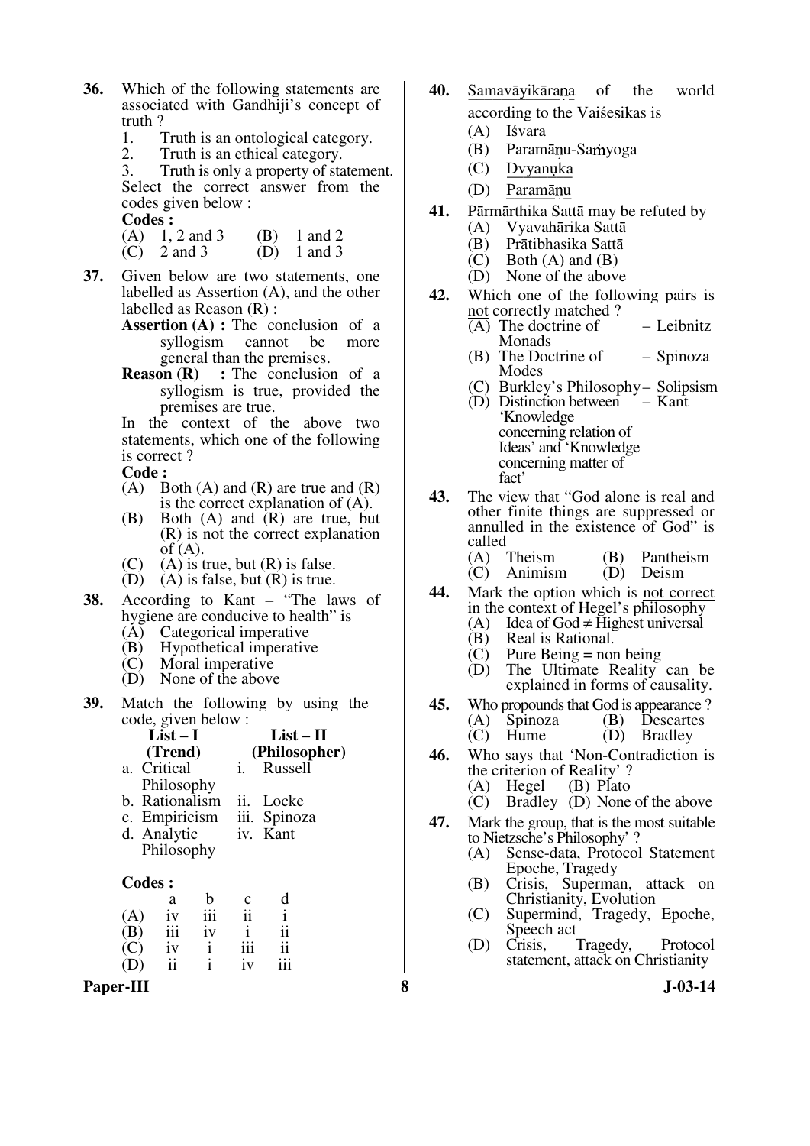- **36.** Which of the following statements are associated with Gandhiji's concept of truth ?<br>1.  $\overline{1}$ 
	- 1. Truth is an ontological category.<br>2. Truth is an ethical category.
	- 2. Truth is an ethical category.<br>3. Truth is only a property of sta

Truth is only a property of statement. Select the correct answer from the codes given below :

 **Codes :** 

- (A)  $1, 2$  and  $3$  (B)  $1$  and  $2$ <br>(C)  $2$  and  $3$  (D)  $1$  and  $3$
- $(C)$  2 and 3
- **37.** Given below are two statements, one labelled as Assertion (A), and the other labelled as Reason (R) :
	- **Assertion (A) :** The conclusion of a syllogism cannot be more general than the premises.
	- **Reason (R)** : The conclusion of a syllogism is true, provided the premises are true.

In the context of the above two statements, which one of the following is correct ?

 **Code :** 

- $(A)$  Both  $(A)$  and  $(R)$  are true and  $(R)$ is the correct explanation of (A).
- (B) Both (A) and (R) are true, but (R) is not the correct explanation of  $(A)$ .
- (C) (A) is true, but  $(R)$  is false.
- $(D)$   $(A)$  is false, but  $(R)$  is true.
- **38.** According to Kant "The laws of hygiene are conducive to health" is
	- (A) Categorical imperative<br>(B) Hypothetical imperative
	- (B) Hypothetical imperative<br>(C) Moral imperative
	- Moral imperative
	- (D) None of the above
- **39.** Match the following by using the code, given below :

|    | $List-I$                         |      | $List-II$     |
|----|----------------------------------|------|---------------|
|    | (Trend)                          |      | (Philosopher) |
|    | a. Critical                      |      | Russell       |
|    | Philosophy                       |      |               |
| 1. | $\mathbf{D}$ = 43 = 43 = 43 = 44 | 7. J | $T = -1$      |

- b. Rationalism ii. Locke c. Empiricism iii. Spinoza
- c. Empiricism d. Analytic iv. Kant
- Philosophy

#### **Codes :**

|     | a   | h   | $\mathbf c$ | d   |
|-----|-----|-----|-------------|-----|
| (A) | iv  | 111 | ii          |     |
| (B) | 111 | iv  | 1           | ii  |
| (C) | iv  |     | 111         | ii  |
| (D) | ii  |     | iv          | 111 |

Paper-III 8 **3** J-03-14

- **40.** Samavāyikārana of the world according to the Vaise sikas is
	- (A) Iśvara
		-
	- (B) Paramānu-Samyoga
	- (C) Dvyanuka
	- (D) Paramānu
- **41.** Pārmārthika Sattā may be refuted by
	- (A) Vyavahārika Sattā
	- (B) Prātibhasika Sattā<br>
	(C) Both (A) and (B)
	- (C) Both (A) and (B)<br>(D) None of the above
	- None of the above
- **42.** Which one of the following pairs is not correctly matched ?
	- (A) The doctrine of Monads – Leibnitz
	- (B) The Doctrine of Modes – Spinoza
	- (C) Burkley's Philosophy– Solipsism
	- (D) Distinction between 'Knowledge concerning relation of Ideas' and 'Knowledge concerning matter of fact' – Kant
- **43.** The view that "God alone is real and other finite things are suppressed or annulled in the existence of God" is
	- called<br> $(A)$  Theism (A) Theism (B) Pantheism<br>(C) Animism (D) Deism  $(D)$  Deism
- **44.** Mark the option which is not correct in the context of Hegel's philosophy<br>(A) Idea of God  $\neq$  Highest universal
	- (A) Idea of God ≠ Highest universal<br>(B) Real is Rational.
	- (B) Real is Rational.<br>(C) Pure Being = nor
	- $(C)$  Pure Being = non being<br>
	(D) The Ultimate Reality
	- The Ultimate Reality can be explained in forms of causality.
- **45.** Who propounds that God is appearance?<br>(A) Spinoza (B) Descartes (A) Spinoza (B) Descartes<br>(C) Hume (D) Bradley
- (D) Bradley **46.** Who says that 'Non-Contradiction is
	- the criterion of Reality' ?<br>
	(A) Hegel (B) Plato
	- $(A)$  Hegel  $(C)$  Bradle
	- Bradley (D) None of the above
- **47.** Mark the group, that is the most suitable to Nietzsche's Philosophy' ?
	- (A) Sense-data, Protocol Statement Epoche, Tragedy
	- (B) Crisis, Superman, attack on Christianity, Evolution
	- (C) Supermind, Tragedy, Epoche, Speech act<br>Crisis.
	- (D) Crisis, Tragedy, Protocol statement, attack on Christianity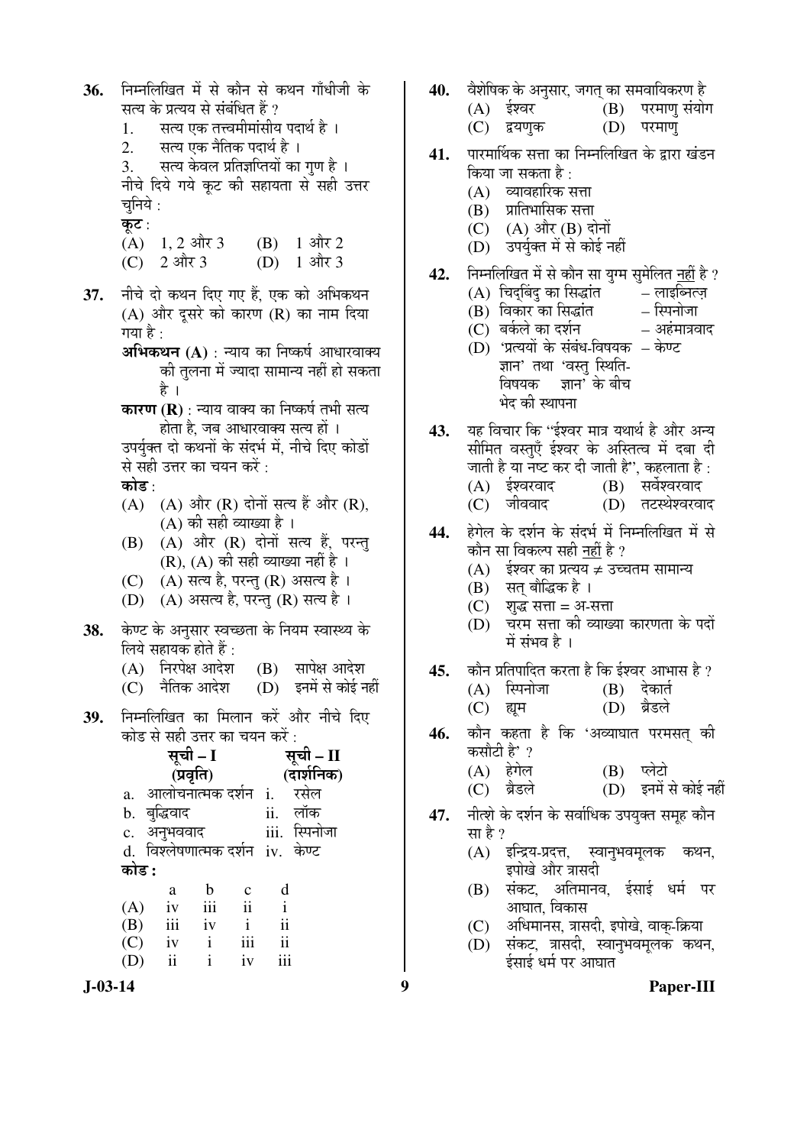36. निम्नलिखित में से कौन से कथन गाँधीजी के सत्य के प्रत्यय से संबंधित हैं ? 1. सत्य एक तत्त्वमीमांसीय पदार्थ है ।<br>2. सत्य एक नैतिक पदार्थ है । सत्य एक नैतिक पदार्थ है । 3. सत्य केवल प्रतिज्ञप्तियों का गण है। नीचे दिये गये कूट की सहायता से सही उत्तर चनिये $\,$  : कट $:$ (A)  $1, 2$  और 3 (B)  $1$  और 2<br>(C)  $2$  और 3 (D)  $1$  और 3  $(C)$  2 और 3 37. नीचे दो कथन दिए गए हैं, एक को अभिकथन (A) और दुसरे को कारण (R) का नाम दिया गया है $\cdot$ **अभिकथन (A)** : न्याय का निष्कर्ष आधारवाक्य की तलना में ज्यादा सामान्य नहीं हो सकता है । **कारण (R)** : न्याय वाक्य का निष्कर्ष तभी सत्य होता है. जब आधारवाक्य सत्य हों । उपर्युक्त दो कथनों के संदर्भ में, नीचे दिए कोडों से सही उत्तर का चयन करें : कोड़<sup>.</sup>  $(A)$   $(A)$  और  $(R)$  दोनों सत्य हैं और  $(R)$ , (A) की सही व्याख्या है ।  $(B)$   $(A)$  और  $(R)$  दोनों सत्य हैं, परन्तु  $(R)$ ,  $(A)$  की सही व्याख्या नहीं है। (C) (A) सत्य है, परन्तु (R) असत्य है। (D) (A) असत्य है, परन्तु (R) सत्य है। 38. केण्ट के अनुसार स्वच्छता के नियम स्वास्थ्य के  $\overline{r}$ लिये सहायक होते हैं :  $(A)$  निरपेक्ष आदेश  $(B)$  सापेक्ष आदेश (C) नैतिक आदेश (D) इनमें से कोई नहीं 39. निम्नलिखित का मिलान करें और नीचे दिए कोड से सही उत्तर का चयन करें $\cdot$ सूची – I **(प्रवृत्ति)** सूची – II **(**¤üÖ¿ÖÔ×®ÖÛú**)** a. आलोचनात्मक दर्शन i. रसेल b. ²Öãרü¾ÖÖ¤ü ii. »ÖÖòÛú c. अनुभववाद iii. स्पिनोजा d. विश्लेषणात्मक दर्शन iv. केण्ट 󜅐ݟ **:** a b c d  $(A)$  iv iii ii i (B) iii iv i ii (C) iv i iii ii (D) ii i iv iii

- **40.** ¾Öî¿Öê×ÂÖÛú Ûêú †®ÖãÃÖÖ¸ü, •ÖÝÖŸÖË ÛúÖ ÃÖ´Ö¾ÖÖ×µÖÛú¸üÞÖ Æîü
	- (B) परमाणु संयोग<br>(D) परमाण्
		- (C) द्वयणुक
- 41. पारमार्थिक सत्ता का निम्नलिखित के द्वारा खंडन किया जा सकता है :
	- $(A)$  व्यावहारिक सत्ता
	- $(B)$  प्रातिभासिक सत्ता
	- (C) (A) और (B) दोनों
	- (D) उपर्यक्त में से कोई नहीं
- 42. Fiम्नलिखित में से कौन सा यग्म समेलित नहीं है ?
	- (A) चिद्बिंदु का सिद्धांत लाइब्नित्ज़<br>(B) विकार का सिद्धांत स्पिनोजा
	-
	- (B) ×¾ÖÛúÖ¸ü ÛúÖ ×ÃÖ¨üÖÓŸÖ ×ï֮ÖÖê•ÖÖ  $(C)$  बर्कले का दर्शन
	- (D) 'प्रत्ययों के संबंध-विषयक केण्ट ज्ञान' तथा 'वस्तु स्थिति-विषयक ज्ञान $\check{ }$  के बीच भेद की स्थापना

43. यह विचार कि ''ईश्वर मात्र यथार्थ है और अन्य सीमित वस्तुएँ ईश्वर के अस्तित्व में दबा दी जाती है या नष्ट कर दी जाती है'', कहलाता है :<br>(A) ईश्वरवाद (B) सर्वेश्वरवाद (A) ‡Ô¿¾Ö¸ü¾ÖÖ¤ü (B) ÃÖ¾Ö쿾ָü¾ÖÖ¤ü

- (C) जीववाद (D) तटस्थेश्वरवाद
- 44. हेगेल के दर्शन के संदर्भ में निम्नलिखित में से कौन सा विकल्प सही नहीं है ?
	- (A)  $\frac{1}{2}$ ईश्वर का प्रत्यय ≠ उच्चतम सामान्य
	- $(B)$  सत बौद्धिक है ।
	- $(C)$  शब्द सत्ता = अ-सत्ता
	- (D) चरम सत्ता की व्याख्या कारणता के पदों  $\vec{H}$  संभव है ।
- **45.** कौन प्रतिपादित करता है कि ईश्वर आभास है ? (A) स्पिनोजा (B) देकार्त
	- (C) ह्यम (D) ब्रैडले
- **46.** कौन कहता है कि 'अव्याघात परमसत् की कसौटी है' ?
	- (A) हेगेल (B) प्लेटो
	- (C) ब्रैडले (D) इनमें से कोई नहीं
- 47. नीत्शे के दर्शन के सर्वाधिक उपयुक्त समूह कौन सा है ?
	- (A) इन्द्रिय-प्रदत्त, स्वानुभवमूलक कथन, इपोखे और त्रासदी
	- (B) संकट, अतिमानव, ईसाई धर्म पर आघात, विकास
	- (C) अधिमानस, त्रासदी, इपोखे, वाक्-क्रिया
	- (D) संकट, त्रासदी, स्वानुभवमूलक कथन, ईसाई धर्म पर आघात

**J-03-14 9 Paper-III**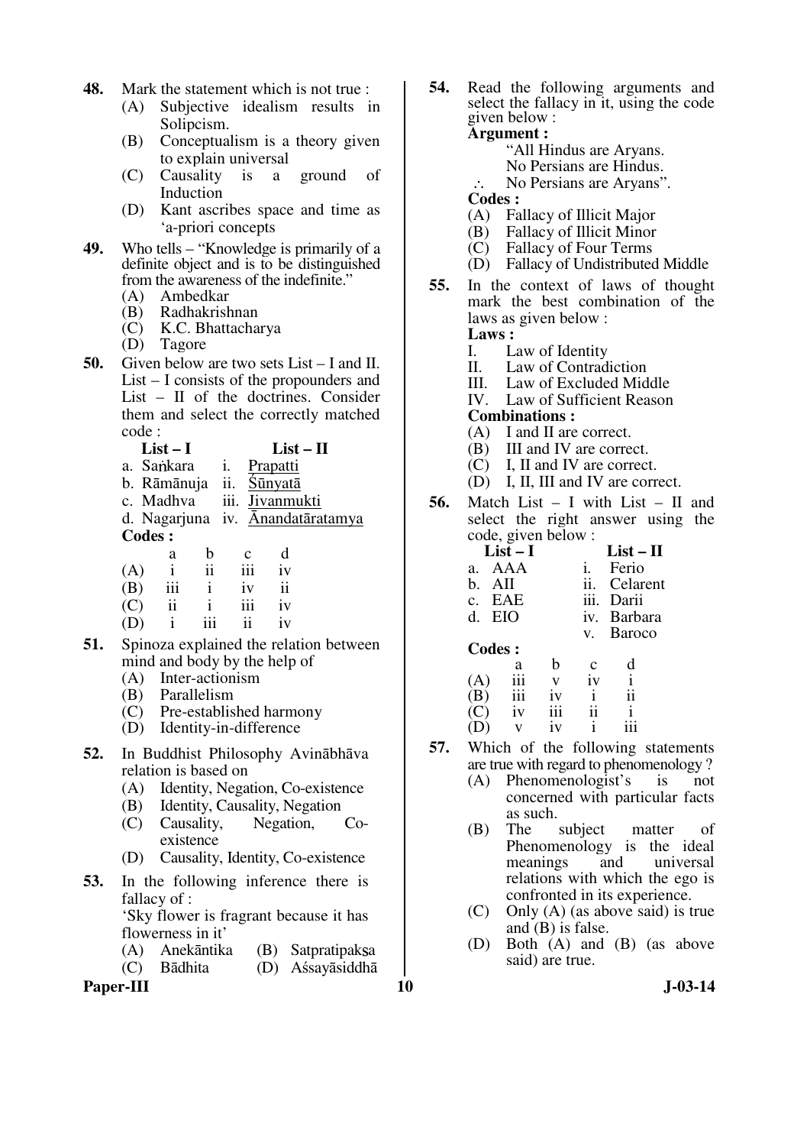- **48.** Mark the statement which is not true :
	- (A) Subjective idealism results in Solipcism.
	- (B) Conceptualism is a theory given to explain universal
	- (C) Causality is a ground of Induction
	- (D) Kant ascribes space and time as 'a-priori concepts
- **49.** Who tells "Knowledge is primarily of a definite object and is to be distinguished from the awareness of the indefinite."<br>(A) Ambedkar
	- Ambedkar
	- (B) Radhakrishnan
	- (C) K.C. Bhattacharya
	- Tagore
- **50.** Given below are two sets List I and II. List – I consists of the propounders and List – II of the doctrines. Consider them and select the correctly matched code :
	- **List I List II**
	- a. Sankara i. Prapatti
	- b. Rāmānuja ii. Śūnyatā
	- c. Madhva iii. Jivanmukti

d. Nagarjuna iv. Ānandatāratamya **Codes :** 

|     | a   | b   | $\mathbf c$ | d  |
|-----|-----|-----|-------------|----|
| (A) | i   | ii  | 111         | iv |
| (B) | iii |     | iv          | ii |
| (C) | ii  |     | 111         | iv |
| (D) | i   | 111 | 11          | iv |

- **51.** Spinoza explained the relation between mind and body by the help of
	- (A) Inter-actionism
	- (B) Parallelism
	- (C) Pre-established harmony
	- (D) Identity-in-difference
- **52.** In Buddhist Philosophy Avinābhāva relation is based on
	- (A) Identity, Negation, Co-existence
	- (B) Identity, Causality, Negation
	- (C) Causality, Negation, Coexistence
	- (D) Causality, Identity, Co-existence
- **53.** In the following inference there is fallacy of : 'Sky flower is fragrant because it has flowerness in it'
	- (A) Anekāntika (B) Satpratipaksa
	- (C) Bādhita (D) Aśsayāsiddhā

**Paper-III** J-03-14

**54.** Read the following arguments and select the fallacy in it, using the code given below :

#### **Argument :**

- "All Hindus are Aryans.
- No Persians are Hindus.
- ∴ No Persians are Aryans".
- **Codes :**
- (A) Fallacy of Illicit Major
- (B) Fallacy of Illicit Minor<br>(C) Fallacy of Four Terms
- Fallacy of Four Terms
- (D) Fallacy of Undistributed Middle
- **55.** In the context of laws of thought mark the best combination of the laws as given below :
	- Laws :<br>L<br>L<br>L
	- I. Law of Identity<br>II. Law of Contrad
	- II. Law of Contradiction<br>III. Law of Excluded Mid
	- III. Law of Excluded Middle IV. Law of Sufficient Reason
	- Law of Sufficient Reason

#### **Combinations :**

- (A) I and II are correct.
- (B) III and IV are correct.
- (C) I, II and IV are correct.
- (D) I, II, III and IV are correct.
- **56.** Match List I with List II and select the right answer using the code, given below :

|              | $List-I$      |     | $List - II$ |                |
|--------------|---------------|-----|-------------|----------------|
| a.           | AAA           |     |             | Ferio          |
| b.           | AII           |     | ii.         | Celarent       |
|              | c. EAE        |     | iii.        | Darii          |
| d.           | EIO           |     | iv.         | <b>Barbara</b> |
|              |               |     | V.          | <b>Baroco</b>  |
|              |               |     |             |                |
|              | <b>Codes:</b> |     |             |                |
|              |               | h   | $\mathbf c$ |                |
| (A)          | a<br>iii      | V   | iv          | i              |
| $\mathbf{B}$ | iii           | 1V  |             | ii             |
|              | 1V            | 111 | ii          | i              |

- **57.** Which of the following statements are true with regard to phenomenology?<br>
(A) Phenomenologist's is not
	- Phenomenologist's is not concerned with particular facts as such.<br>The
	- (B) The subject matter of Phenomenology is the ideal meanings and universal relations with which the ego is confronted in its experience.
	- (C) Only (A) (as above said) is true and (B) is false.
	- (D) Both (A) and (B) (as above said) are true.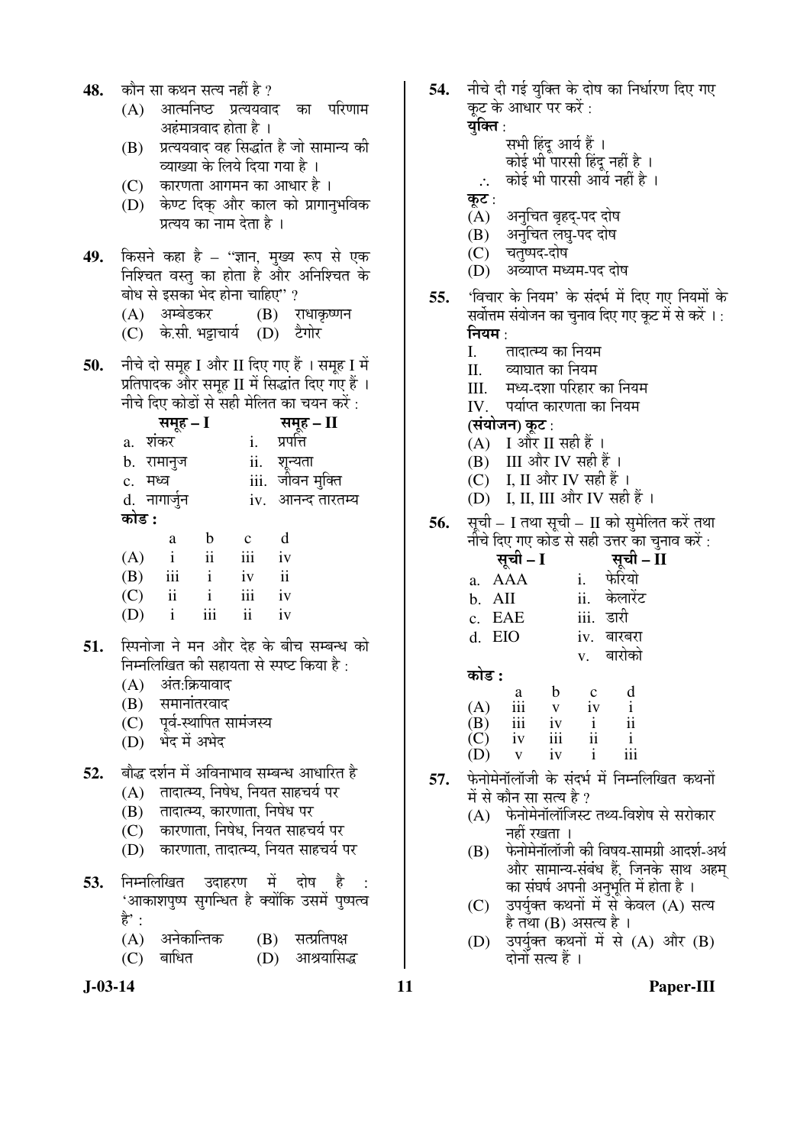- 48. कौन सा कथन सत्य नहीं है ?
	- (A) आत्मनिष्ठ प्रत्ययवाद का परिणाम अहंमात्रवाद होता है ।
	- $(B)$  प्रत्ययवाद वह सिद्धांत है जो सामान्य की व्याख्या के लिये दिया गया है ।
	- $(C)$  कारणता आगमन का आधार है ।
	- (D) केण्ट दिक और काल को प्रागानभविक प्रत्यय का नाम देता है।
- **49.** किसने कहा है ''ज्ञान, मुख्य रूप से एक निश्चित वस्तू का होता है और अनिश्चित के बोध से इसका भेद होना चाहिए" ?
	- (A) अम्बेडकर (B) राधाकृष्णन
	- (C) के.सी. भड़ाचार्य (D) टैगोर
- 50. नीचे दो समूह I और II दिए गए हैं । समूह I में प्रतिपादक और समह II में सिद्धांत दिए गए हैं । नीचे दिए कोडों से सद्री मेलित का चयन करें $\cdot$

|         | समूह – I     |              |             |                                      |
|---------|--------------|--------------|-------------|--------------------------------------|
| a.      | शंकर         |              |             | <b>समूह – II</b><br>प्रपत्ति         |
|         | b. रामानुज   |              |             |                                      |
| c. मध्व |              |              |             | ii.    शून्यता<br>iii.   जीवन मुक्ति |
|         | d. नागार्जुन |              |             | iv. आनन्द तारतम्य                    |
| कोड :   |              |              |             |                                      |
|         | a            | b            | $\mathbf c$ | d                                    |
| (A)     | $\mathbf{i}$ | ii           | iii         | iv                                   |
| (B)     | iii          | $\mathbf{i}$ | iv          | ii                                   |

| $\sim$ | ----                    |                |                 |    |  |
|--------|-------------------------|----------------|-----------------|----|--|
| (C)    | $\overline{\mathbf{u}}$ | $\blacksquare$ | $\cdots$<br>111 | 1V |  |
| (D)    | $\mathbf{1}$            | iii            | ii              | 1V |  |

- 51. स्पिनोजा ने मन और देह के बीच सम्बन्ध को निम्नलिखित की सहायता से स्पष्ट किया है $\cdot$ 
	- $(A)$  अंत:क्रियावाद
	- $(B)$  समानांतरवाद
	- (C) पूर्व-स्थापित सामंजस्य
	- (D) भेद में अभेद
- 52. बौद्ध दर्शन में अविनाभाव सम्बन्ध आधारित है
	- (A) तादात्म्य, निषेध, नियत साहचर्य पर
	- (B) तादात्म्य, कारणाता, निषेध पर
	- (C) कारणाता. निषेध. नियत साहचर्य पर
	- (D) कारणाता, तादात्म्य, नियत साहचर्य पर
- **53.** निम्नलिखित उदाहरण में दोष है 'आकाशपुष्प सुगन्धित है क्योंकि उसमें पृष्पत्व हे $^{\cdot}$  :
	- (A) अनेकान्तिक (B) सत्प्रतिपक्ष<br>(C) बाधित (D) आश्रयासि
	- (D) आश्रयासिद्ध
- 

54. नीचे दी गई यक्ति के दोष का निर्धारण दिए गए कट के आधार पर करें :

युक्ति :

- सभी हिंदु आर्य हैं ।
- कोई भी पारसी हिंदु नहीं है ।
- ∴ कोई भी पारसी आर्य नहीं है ।
- कूट $:$
- (A) अनुचित बृहद्-पद दोष<br>(B) अनचित लघ-पद दोष
- अनचित लघ-पद दोष
- (C) चतृष्पद-दोष
- (D) अव्याप्त मध्यम-पद दोष
- **55.** 'विचार के नियम' के संदर्भ में दिए गए नियमों के सर्वोत्तम संयोजन का चुनाव दिए गए कूट में से करें । :
	- नियम :<br>L I. तादात्म्य का नियम<br>II व्याघात का नियम
	- व्याघात का नियम
	- III. मध्य-दशा परिहार का नियम
	- IV. पर्याप्त कारणता का नियम
	- (संयोजन) कट :
	- $(A)$  I और II सही हैं।
	- $(B)$  III और IV सही हैं।
	- (C) I, II और IV सही हैं।
	- $(D)$  I, II, III और IV सही हैं।
- **56.** सूची I तथा सूची II को सुमेलित करें तथा नीचे दिए गए कोड से सही उत्तर का चनाव करें :

|                         | सूची – I         |                |              | <b>सूची – II</b><br>फेरियो |
|-------------------------|------------------|----------------|--------------|----------------------------|
|                         | a. AAA           |                | i.           |                            |
| b. AII                  |                  |                | ii.          | केलारेंट                   |
|                         | c. EAE           |                |              | iii. डारी                  |
|                         | d. EIO           |                |              | iv. बारबरा                 |
|                         |                  |                |              | v. बारोको                  |
| कोड :                   |                  |                |              |                            |
|                         | a                | b              | $\mathbf c$  | d                          |
|                         |                  |                | iv           | $\frac{1}{11}$             |
|                         |                  | $\frac{v}{iv}$ | $\mathbf{i}$ |                            |
| $(A)$<br>$(B)$<br>$(C)$ | iii<br>iii<br>iv | iii            | ii           | $\mathbf{i}$               |
|                         | $\mathbf V$      | iv             | $\mathbf{i}$ | iii                        |

- **57.** फेनोमेनॉलॉजी के संदर्भ में निम्नलिखित कथनों में से कौन सा सत्य है ?
	- $(A)$  फेनोमेनॉलॉजिस्ट तथ्य-विशेष से सरोकार नहीं रखता ।
	- $(B)$  फेनोमेनॉलॉजी की विषय-सामग्री आदर्श-अर्थ ओर सामान्य-संबंध हैं, जिनके साथ अहम का संघर्ष अपनी अनुभूति में होता है ।
	- $(C)$  उपर्युक्त कथनों में से केवल  $(A)$  सत्य है तथा  $(B)$  असत्य है।
	- (D) उपर्युक्त कथनों में से  $(A)$  और  $(B)$ दोनों सत्य हैं ।

**J-03-14 11 Paper-III**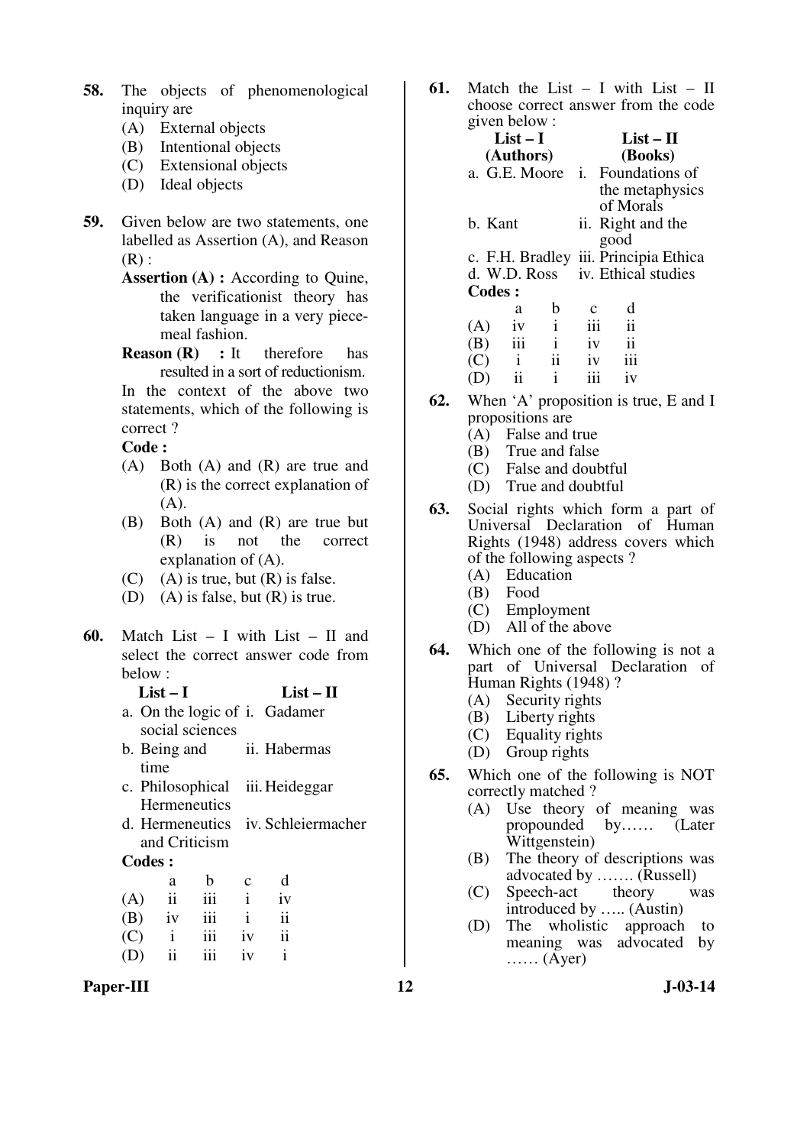- **58.** The objects of phenomenological inquiry are
	- (A) External objects
	- (B) Intentional objects
	- (C) Extensional objects
	- (D) Ideal objects
- **59.** Given below are two statements, one labelled as Assertion (A), and Reason  $(R)$ :
	- **Assertion (A) :** According to Quine, the verificationist theory has taken language in a very piecemeal fashion.
	- **Reason (R)** : It therefore has resulted in a sort of reductionism.

 In the context of the above two statements, which of the following is correct ?

 **Code :** 

- (A) Both (A) and (R) are true and (R) is the correct explanation of (A).
- (B) Both (A) and (R) are true but (R) is not the correct explanation of (A).
- $(C)$  (A) is true, but  $(R)$  is false.
- (D) (A) is false, but (R) is true.
- **60.** Match List I with List II and select the correct answer code from below :

| List $-1$                     | List $-$ II |
|-------------------------------|-------------|
| a. On the logic of i. Gadamer |             |
| social sciences               |             |

- b. Being and time ii. Habermas
- c. Philosophical **Hermeneutics** iii. Heideggar
- d. Hermeneutics iv. Schleiermacher and Criticism

#### **Codes :**

|     | a             | b   | $\mathbf c$ | d  |
|-----|---------------|-----|-------------|----|
| (A) | $\mathbf{ii}$ | 111 | Ť           | iv |
| (B) | iv            | iii | Ť           | ii |
| (C) | $\mathbf{i}$  | 111 | iv          | ii |
| (D) | $\mathbf{ii}$ | iii | iv          |    |

Paper-III **12** J-03-14

**61.** Match the List – I with List – II choose correct answer from the code given below :

|               | $\mathbf{F}$ . |              |                      |                   |                                       |  |
|---------------|----------------|--------------|----------------------|-------------------|---------------------------------------|--|
|               | $List-I$       |              | $List-II$<br>(Books) |                   |                                       |  |
|               | (Authors)      |              |                      |                   |                                       |  |
|               | a. G.E. Moore  |              |                      |                   | i. Foundations of                     |  |
|               |                |              |                      |                   | the metaphysics                       |  |
|               |                |              |                      | of Morals         |                                       |  |
| b. Kant       |                |              |                      | ii. Right and the |                                       |  |
|               |                |              |                      | good              |                                       |  |
|               |                |              |                      |                   | c. F.H. Bradley iii. Principia Ethica |  |
|               | d. W.D. Ross   |              |                      |                   | iv. Ethical studies                   |  |
| Codes:        |                |              |                      |                   |                                       |  |
|               | a              | b            |                      | d                 |                                       |  |
| (A)           | 1V             | $\mathbf{i}$ | iii                  | $\mathbf{ii}$     |                                       |  |
| (B)           | iii            | $\mathbf{i}$ | iv                   | $\mathbf{ii}$     |                                       |  |
| $\mathcal{C}$ | $\mathbf{i}$   | ii           | iv                   |                   |                                       |  |
|               |                |              |                      |                   |                                       |  |

- **62.** When 'A' proposition is true, E and I propositions are
	- (A) False and true
	- (B) True and false
	- (C) False and doubtful

 $(D)$  ii ii iii iv

- (D) True and doubtful
- **63.** Social rights which form a part of Universal Declaration of Human Rights (1948) address covers which of the following aspects ?
	- (A) Education
	- (B) Food
	- (C) Employment
	- (D) All of the above
- **64.** Which one of the following is not a part of Universal Declaration of Human Rights (1948) ?
	- (A) Security rights
	- (B) Liberty rights
	- (C) Equality rights
	- (D) Group rights
- **65.** Which one of the following is NOT correctly matched ?
	- (A) Use theory of meaning was<br>propounded by...... (Later by…… (Later Wittgenstein)
	- (B) The theory of descriptions was advocated by ……. (Russell)
	- (C) Speech-act theory was introduced by ….. (Austin)
	- (D) The wholistic approach to meaning was advocated by  $\ldots$  (Ayer)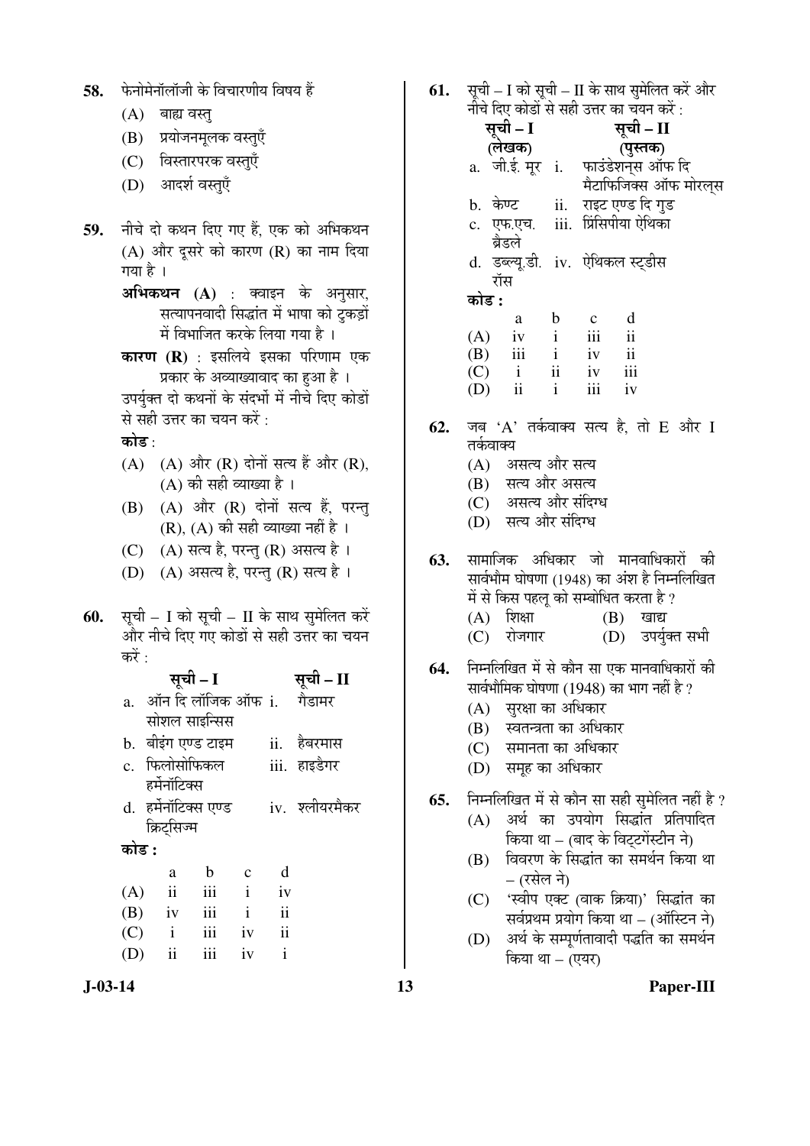| 58. |  |  |  | फेनोमेनॉलॉजी के विचारणीय विषय हैं |  |
|-----|--|--|--|-----------------------------------|--|
|     |  |  |  |                                   |  |

- $(A)$  बाह्य वस्त्
- (B) प्रयोजनमूलक वस्तुएँ
- (C) विस्तारपरक वस्तुएँ
- (D) आदर्श वस्तुएँ
- 59. नीचे दो कथन दिए गए हैं. एक को अभिकथन (A) और दुसरे को कारण (R) का नाम दिया गया है $\perp$ 
	- **अभिकथन (A)** : क्वाइन के अनुसार, सत्यापनवादी सिद्धांत में भाषा को टुकड़ों में विभाजित करके लिया गया है ।
	- **कारण (R)** : इसलिये इसका परिणाम एक प्रकार के अव्याख्यावाद का हुआ है ।
	- उपर्युक्त दो कथनों के संदर्भो में नीचे दिए कोडों से सही उत्तर का चयन करें :
	- कोड $\cdot$
	- $(A)$   $(A)$  और  $(R)$  दोनों सत्य हैं और  $(R)$ ,  $(A)$  की सही व्याख्या है ।
	- $(B)$   $(A)$  और  $(R)$  दोनों सत्य हैं, परन्त  $(R)$ ,  $(A)$  की सही व्याख्या नहीं है ।
	- (C)  $(A)$  सत्य है, परन्तु (R) असत्य है।
	- (D) (A) असत्य है, परन्तु (R) सत्य है।
- **60.** सूची I को सूची II के साथ सुमेलित करें और नीचे दिए गए कोडों से सही उत्तर का चयन करें $\cdot$

|         |                                 | सूची – I      |              |            | सूची – II      |
|---------|---------------------------------|---------------|--------------|------------|----------------|
| $a_{-}$ | ऑन दि लॉजिक ऑफ <b>ा. गैडामर</b> |               |              |            |                |
|         | सोशल साइन्सिस                   |               |              |            |                |
|         | b. बीइंग एण्ड टाइम              |               |              |            | ii. हेबरमास    |
|         | c. फिलोसोफिकल                   |               |              |            | iii. हाइडैगर   |
|         | हर्मनॉटिक्स                     |               |              |            |                |
|         | d. हर्मनॉटिक्स एण्ड             |               |              |            | iv. श्लीयरमैकर |
|         | क्रिट्सिज्म                     |               |              |            |                |
| कोड :   |                                 |               |              |            |                |
|         | a                               | b             | $\mathbf{c}$ | d          |                |
| (A)     | $\overline{\mathbf{u}}$         | iii           | $\mathbf{i}$ | iv         |                |
| (R)     | iv                              | $\mathbf{ii}$ | i            | $\ddot{i}$ |                |

- (B) iv iii i ii (C) i iii iv ii (D) ii iii iv i
- 
- **61.** सची I को सची II के साथ समेलित करें और नीचे दिए कोडों से सही उत्तर का चयन करें :
	- सूची I (**लेखक)**<br>a. जी.ई. मूर**ां.** सूची – II (पुस्तक) फाउंडेशन्स ऑफ दि मैटाफिजिक्स ऑफ मोरलस b. केण्ट . ii. राइट एण्ड दि गड c. एफ.एच. ब्रैडले iii. प्रिंसिपीया ऐथिका d. डब्ल्यू.डी. iv. ऐथिकल स्ट्डीस रॉस <u>कोड :</u> a b c d  $(A)$  iv i iii ii (B) iii i iv ii (C) i ii iv iii
- 62. जब 'A' तर्कवाक्य सत्य है. तो E और I तर्कवाक्य

(D) ii i iii iv

- (A) असत्य और सत्य
- (B) सत्य और असत्य
- (C) असत्य और संदिग्ध
- (D) सत्य और संदिग्ध
- 63. सामाजिक अधिकार जो मानवाधिकारों की सार्वभौम घोषणा (1948) का अंश है निम्नलिखित में से किस पहलू को सम्बोधित करता है ?  $(A)$  शिक्षा  $(B)$  खाद्य
	- (C) रोजगार (D) उपर्युक्त सभी
- **64.** निम्नलिखित में से कौन सा एक मानवाधिकारों की सार्वभौमिक घोषणा  $(1948)$  का भाग नहीं है ?
	- $(A)$  सरक्षा का अधिकार
	- (B) स्वतन्त्रता का अधिकार
	- (C) समानता का अधिकार
	- (D) समूह का अधिकार
- **65.** निम्नलिखित में से कौन सा सही सुमेलित नहीं है ?
	- (A) अर्थ का उपयोग सिद्धांत प्रतिपादित किया था – (बाद के विट्टगेंस्टीन ने)
	- $(B)$  विवरण के सिद्धांत का समर्थन किया था – (रसेल ने)
	- (C) 'स्वीप एक्ट (वाक क्रिया)' सिद्धांत का सर्वप्रथम प्रयोग किया था – (ऑस्टिन ने)
	- (D) अर्थ के सम्पूर्णतावादी पद्धति का समर्थन किया था – (एयर)

**J-03-14 13 Paper-III**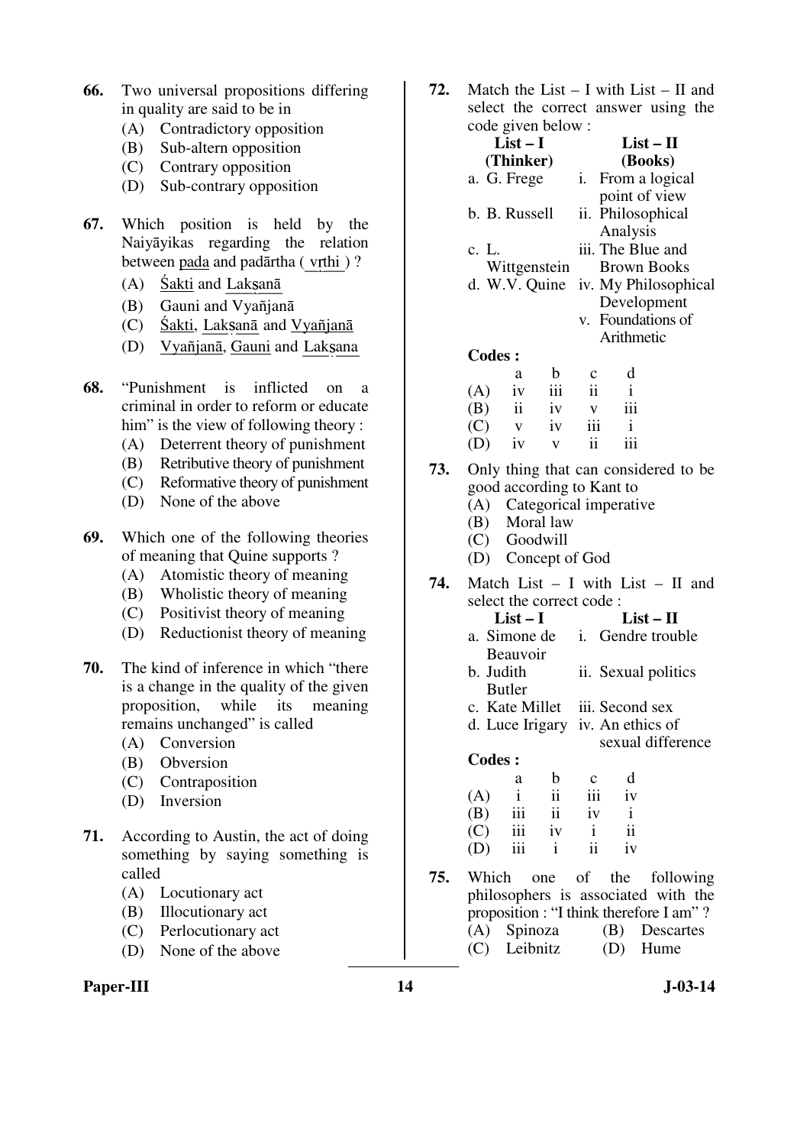- **66.** Two universal propositions differing in quality are said to be in
	- (A) Contradictory opposition
	- (B) Sub-altern opposition
	- (C) Contrary opposition
	- (D) Sub-contrary opposition
- **67.** Which position is held by the Naiyāyikas regarding the relation between pada and padārtha (vrthi )?
	- $(A)$  Śakti and Laksanā
	- (B) Gauni and Vyañjanā
	- $(C)$  Śakti, Laksanā and Vyañjanā
	- (D) Vyañjanā, Gauni and Laksana
- **68.** "Punishment is inflicted on a criminal in order to reform or educate him" is the view of following theory :
	- (A) Deterrent theory of punishment
	- (B) Retributive theory of punishment
	- (C) Reformative theory of punishment
	- (D) None of the above
- **69.** Which one of the following theories of meaning that Quine supports ?
	- (A) Atomistic theory of meaning
	- (B) Wholistic theory of meaning
	- (C) Positivist theory of meaning
	- (D) Reductionist theory of meaning
- **70.** The kind of inference in which "there is a change in the quality of the given proposition, while its meaning remains unchanged" is called
	- (A) Conversion
	- (B) Obversion
	- (C) Contraposition
	- (D) Inversion
- **71.** According to Austin, the act of doing something by saying something is called
	- (A) Locutionary act
	- (B) Illocutionary act
	- (C) Perlocutionary act
	- (D) None of the above

#### Paper-III **14** J-03-14

**72.** Match the List – I with List – II and select the correct answer using the

|     |               | code given below: |                         |                                 |                            |                                      |  |
|-----|---------------|-------------------|-------------------------|---------------------------------|----------------------------|--------------------------------------|--|
|     |               | $List-I$          |                         |                                 | $List-II$                  |                                      |  |
|     |               | (Thinker)         |                         | (Books)                         |                            |                                      |  |
|     |               | a. G. Frege       |                         | i.                              | From a logical             |                                      |  |
|     |               |                   |                         |                                 | point of view              |                                      |  |
|     |               | b. B. Russell     |                         | Philosophical<br>ii.            |                            |                                      |  |
|     |               |                   |                         |                                 | Analysis                   |                                      |  |
|     | c. L.         |                   |                         |                                 | iii. The Blue and          |                                      |  |
|     |               | Wittgenstein      |                         |                                 | <b>Brown Books</b>         |                                      |  |
|     |               | d. W.V. Quine     |                         |                                 |                            | iv. My Philosophical                 |  |
|     |               |                   |                         | Development                     |                            |                                      |  |
|     |               |                   |                         | v. Foundations of<br>Arithmetic |                            |                                      |  |
|     |               |                   |                         |                                 |                            |                                      |  |
|     | <b>Codes:</b> |                   |                         |                                 |                            |                                      |  |
|     |               | a                 | $\mathbf b$             | $\mathbf{c}$                    | d                          |                                      |  |
|     | (A)           | iv                | $\overline{\text{iii}}$ | $\mathbf{ii}$                   | $\mathbf{i}$               |                                      |  |
|     | (B)           |                   | ii iv                   | $\mathbf{V}$                    | iii                        |                                      |  |
|     | (C)           | $\mathbf{V}$      | iv                      | iii                             | $\mathbf{i}$               |                                      |  |
|     | (D)           | iv                | $\mathbf{V}$            | $\mathbf{ii}$                   | iii                        |                                      |  |
| 73. |               |                   |                         |                                 |                            | Only thing that can considered to be |  |
|     |               |                   |                         | good according to Kant to       |                            |                                      |  |
|     |               |                   |                         |                                 | (A) Categorical imperative |                                      |  |
|     |               | (B) Moral law     |                         |                                 |                            |                                      |  |
|     |               | (C) Goodwill      |                         |                                 |                            |                                      |  |
|     | (D)           |                   |                         | Concept of God                  |                            |                                      |  |

**74.** Match List – I with List – II and select the correct code :

| List $-1$     | $List - II$                    |
|---------------|--------------------------------|
| a. Simone de  | <i>i.</i> Gendre trouble       |
| Beauvoir      |                                |
| b. Judith     | ii. Sexual politics            |
| <b>Butler</b> |                                |
|               | c. Kate Millet iii. Second sex |

- d. Luce Irigary iv. An ethics of
	- sexual difference

#### **Codes :**

|     | а            | b  | $\mathbf c$ | d  |
|-----|--------------|----|-------------|----|
| (A) | $\mathbf{i}$ | ii | iii         | iv |
| (B) | iii          | ii | iv          | i  |
| (C) | iii          | iv |             | ii |
| (D) | iii          | 1  | ii          | iv |

**75.** Which one of the following philosophers is associated with the proposition : "I think therefore I am" ? (A) Spinoza (B) Descartes (C) Leibnitz (D) Hume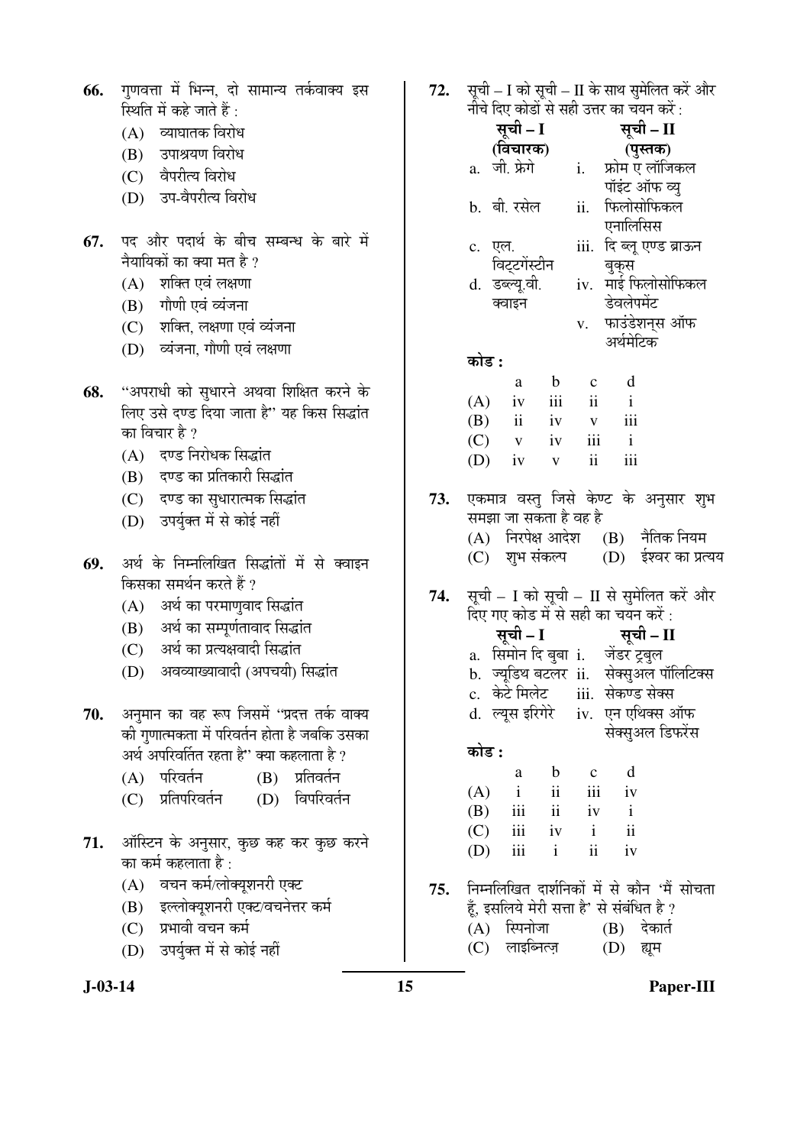| 66.        | गुणवत्ता में भिन्न, दो सामान्य तर्कवाक्य इस<br>स्थिति में कहे जाते हैं :<br>(A) व्याघातक विरोध<br>(B) उपाश्रयण विरोध<br>(C) वैपरीत्य विरोध<br>(D) उप-वैपरीत्य विरोध                                                                                                                                                         | 72. | सूची – I को सूची – II के साथ सुमेलित करें और<br>नीचे दिए कोडों से सही उत्तर का चयन करें :<br>सूची – I<br>सूची – II<br>(विचारक)<br>(पुस्तक)<br>a. जी. फ्रेगे<br>फ्रोम ए लॉजिकल<br>$i$ .<br>पॉइंट ऑफ व्यु<br>फिलोसोफिकल<br>b. बी. रसेल<br>ii.                                                                                                      |
|------------|-----------------------------------------------------------------------------------------------------------------------------------------------------------------------------------------------------------------------------------------------------------------------------------------------------------------------------|-----|--------------------------------------------------------------------------------------------------------------------------------------------------------------------------------------------------------------------------------------------------------------------------------------------------------------------------------------------------|
| 67.        | पद और पदार्थ के बीच सम्बन्ध के बारे में<br>नैयायिकों का क्या मत है ?<br>(A) शक्ति एवं लक्षणा<br>(B) गौणी एवं व्यंजना<br>(C) शक्ति, लक्षणा एवं व्यंजना<br>(D) व्यंजना, गौणी एवं लक्षणा                                                                                                                                       |     | एनालिसिस<br>iii. दि ब्लू एण्ड ब्राऊन<br>c. एल.<br>विट्टगेंस्टीन<br>बुक्स<br>iv. माई फिलोसोफिकल<br>d. डब्ल्यू.वी.<br>डेवलेपमेंट<br>क्वाइन<br>v. फाउंडेशन्स ऑफ<br>अर्थमेटिक<br>कोड :                                                                                                                                                               |
| 68.        | ''अपराधी को सुधारने अथवा शिक्षित करने के<br>लिए उसे दण्ड दिया जाता है" यह किस सिद्धांत<br>का विचार है ?<br>(A) दण्ड निरोधक सिद्धांत<br>(B) दण्ड का प्रतिकारी सिद्धांत<br>(C) दण्ड का सुधारात्मक सिद्धांत<br>(D) उपर्युक्त में से कोई नहीं                                                                                   | 73. | d<br>$\mathbf b$<br>$\mathbf C$<br>a<br>$\mathbf{ii}$<br>iii<br>$\mathbf{i}$<br>(A)<br>iv<br>iii<br>$\mathbf{ii}$<br>(B)<br>iv<br>$\mathbf V$<br>iii<br>$\mathbf{i}$<br>(C)<br>iv<br>$\mathbf V$<br>ii<br>iii<br>(D)<br>iv<br>$\mathbf V$<br>एकमात्र वस्तु जिसे केण्ट के अनुसार शुभ<br>समझा जा सकता है वह है<br>(A) निरपेक्ष आदेश (B) नैतिक नियम |
| 69.<br>70. | अर्थ के निम्नलिखित सिद्धांतों में से क्वाइन<br>किसका समर्थन करते हैं ?<br>(A) अर्थ का परमाणुवाद सिद्धांत<br>(B) अर्थ का सम्पूर्णतावाद सिद्धांत<br>(C) अर्थ का प्रत्यक्षवादी सिद्धांत<br>(D) अवव्याख्यावादी (अपचयी) सिद्धांत<br>अनुमान का वह रूप जिसमें ''प्रदत्त तर्क वाक्य<br>की गुणात्मकता में परिवर्तन होता है जबकि उसका | 74. | शुभ संकल्प<br>(D) ईश्वर का प्रत्यय<br>(C)<br>सूची – I को सूची – II से सुमेलित करें और<br>दिए गए कोड में से सही का चयन करें :<br>सूची – I सूची – II<br>a. सिमोन दि बुबा i. जेंडर ट्रबुल<br>b. ज्यूडिथ बटलर ii.  सेक्सुअल पॉलिटिक्स<br>c.  केटे मिलेट<br>सेकण्ड सेक्स<br>iii.<br>iv. एन एथिक्स ऑफ<br>d. ल्यूस इरिगेरे<br>सेक्सुअल डिफरेंस          |
| 71.        | अर्थ अपरिवर्तित रहता है" क्या कहलाता है ?<br>प्रतिवर्तन<br>परिवर्तन<br>(B)<br>(A)<br>प्रतिपरिवर्तन<br>विपरिवर्तन<br>(D)<br>(C)<br>ऑस्टिन के अनुसार, कुछ कह कर कुछ करने<br>का कर्म कहलाता है :                                                                                                                               |     | कोड :<br>d<br>$\mathbf b$<br>a<br>$\mathbf c$<br>iii<br>$\mathbf{ii}$<br>(A)<br>$\mathbf{i}$<br>iv<br>$\mathbf{i}$<br>$\overline{\mathbf{u}}$<br>(B)<br>iii<br>iv<br>$\mathbf{ii}$<br>iii<br>$\mathbf{i}$<br>iv<br>(C)<br>ii<br>iii<br>$\mathbf{i}$<br>iv<br>(D)                                                                                 |
|            | वचन कर्म/लोक्यूशनरी एक्ट<br>(A)<br>इल्लोक्यूशनरी एक्ट/वचनेत्तर कर्म<br>(B)<br>प्रभावी वचन कर्म<br>(C)<br>(D) उपर्युक्त में से कोई नहीं                                                                                                                                                                                      | 75. | निम्नलिखित दार्शनिकों में से कौन 'मैं सोचता<br>हूँ, इसलिये मेरी सत्ता है' से संबंधित है ?<br>(A) स्पिनोजा<br>$(B)$ देकार्त<br>लाइब्नित्ज़<br>(C)<br>(D)<br>ह्यूम                                                                                                                                                                                 |

**J-03-14 15 Paper-III**